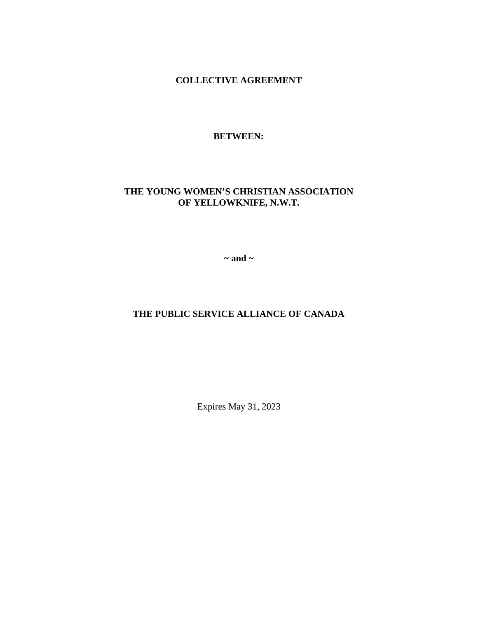**COLLECTIVE AGREEMENT**

# **BETWEEN:**

# **THE YOUNG WOMEN'S CHRISTIAN ASSOCIATION OF YELLOWKNIFE, N.W.T.**

**~ and ~**

# **THE PUBLIC SERVICE ALLIANCE OF CANADA**

Expires May 31, 2023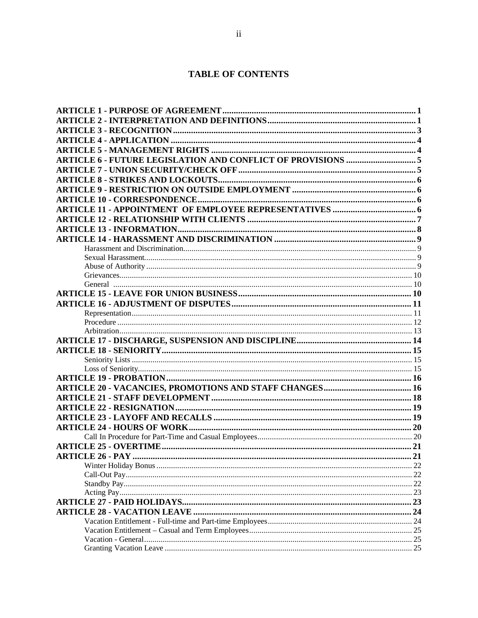# **TABLE OF CONTENTS**

| 23 |
|----|
| 24 |
|    |
|    |
|    |
|    |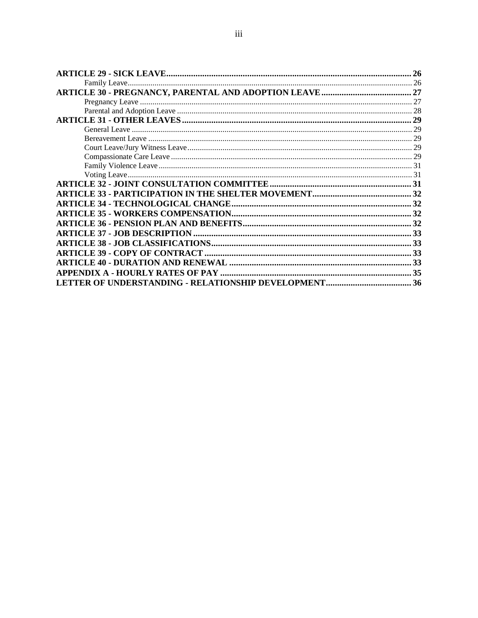| 26 |
|----|
|    |
|    |
| 27 |
|    |
|    |
|    |
|    |
|    |
|    |
|    |
|    |
|    |
|    |
|    |
|    |
|    |
|    |
|    |
| 33 |
|    |
|    |
|    |
|    |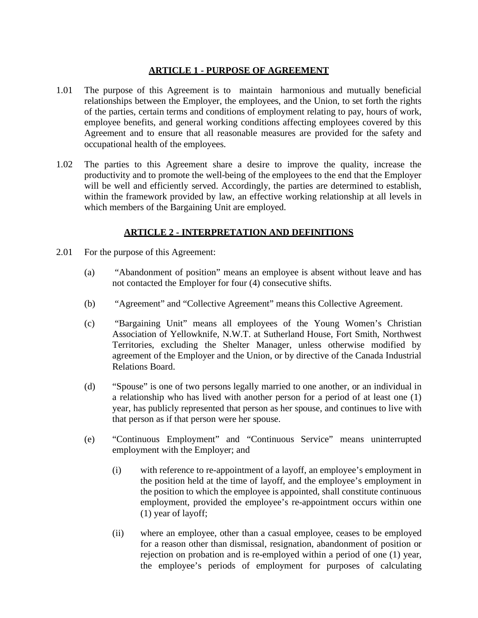## **ARTICLE 1 - PURPOSE OF AGREEMENT**

- 1.01 The purpose of this Agreement is to maintain harmonious and mutually beneficial relationships between the Employer, the employees, and the Union, to set forth the rights of the parties, certain terms and conditions of employment relating to pay, hours of work, employee benefits, and general working conditions affecting employees covered by this Agreement and to ensure that all reasonable measures are provided for the safety and occupational health of the employees.
- 1.02 The parties to this Agreement share a desire to improve the quality, increase the productivity and to promote the well-being of the employees to the end that the Employer will be well and efficiently served. Accordingly, the parties are determined to establish, within the framework provided by law, an effective working relationship at all levels in which members of the Bargaining Unit are employed.

# **ARTICLE 2 - INTERPRETATION AND DEFINITIONS**

- 2.01 For the purpose of this Agreement:
	- (a) "Abandonment of position" means an employee is absent without leave and has not contacted the Employer for four (4) consecutive shifts.
	- (b) "Agreement" and "Collective Agreement" means this Collective Agreement.
	- (c) "Bargaining Unit" means all employees of the Young Women's Christian Association of Yellowknife, N.W.T. at Sutherland House, Fort Smith, Northwest Territories, excluding the Shelter Manager, unless otherwise modified by agreement of the Employer and the Union, or by directive of the Canada Industrial Relations Board.
	- (d) "Spouse" is one of two persons legally married to one another, or an individual in a relationship who has lived with another person for a period of at least one (1) year, has publicly represented that person as her spouse, and continues to live with that person as if that person were her spouse.
	- (e) "Continuous Employment" and "Continuous Service" means uninterrupted employment with the Employer; and
		- (i) with reference to re-appointment of a layoff, an employee's employment in the position held at the time of layoff, and the employee's employment in the position to which the employee is appointed, shall constitute continuous employment, provided the employee's re-appointment occurs within one (1) year of layoff;
		- (ii) where an employee, other than a casual employee, ceases to be employed for a reason other than dismissal, resignation, abandonment of position or rejection on probation and is re-employed within a period of one (1) year, the employee's periods of employment for purposes of calculating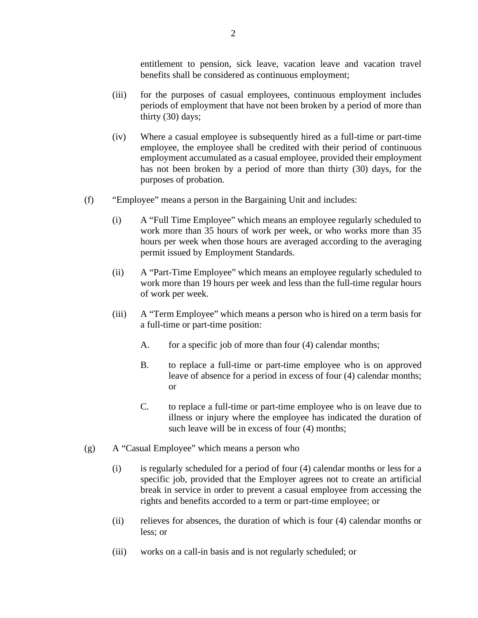entitlement to pension, sick leave, vacation leave and vacation travel benefits shall be considered as continuous employment;

- (iii) for the purposes of casual employees, continuous employment includes periods of employment that have not been broken by a period of more than thirty (30) days;
- (iv) Where a casual employee is subsequently hired as a full-time or part-time employee, the employee shall be credited with their period of continuous employment accumulated as a casual employee, provided their employment has not been broken by a period of more than thirty (30) days, for the purposes of probation.
- (f) "Employee" means a person in the Bargaining Unit and includes:
	- (i) A "Full Time Employee" which means an employee regularly scheduled to work more than 35 hours of work per week, or who works more than 35 hours per week when those hours are averaged according to the averaging permit issued by Employment Standards.
	- (ii) A "Part-Time Employee" which means an employee regularly scheduled to work more than 19 hours per week and less than the full-time regular hours of work per week.
	- (iii) A "Term Employee" which means a person who is hired on a term basis for a full-time or part-time position:
		- A. for a specific job of more than four (4) calendar months;
		- B. to replace a full-time or part-time employee who is on approved leave of absence for a period in excess of four (4) calendar months; or
		- C. to replace a full-time or part-time employee who is on leave due to illness or injury where the employee has indicated the duration of such leave will be in excess of four (4) months;
- (g) A "Casual Employee" which means a person who
	- (i) is regularly scheduled for a period of four (4) calendar months or less for a specific job, provided that the Employer agrees not to create an artificial break in service in order to prevent a casual employee from accessing the rights and benefits accorded to a term or part-time employee; or
	- (ii) relieves for absences, the duration of which is four (4) calendar months or less; or
	- (iii) works on a call-in basis and is not regularly scheduled; or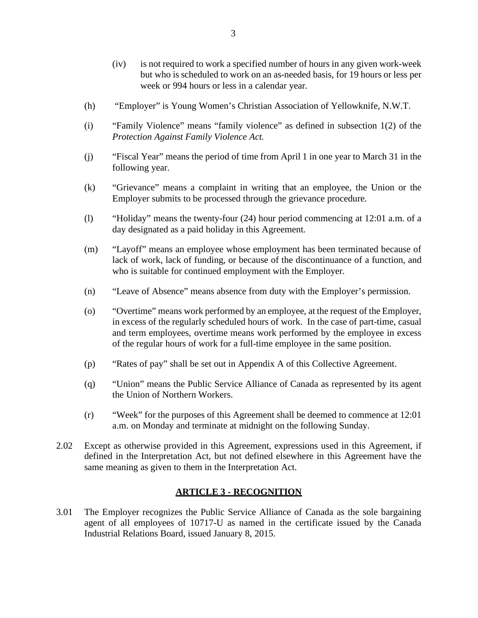- (iv) is not required to work a specified number of hours in any given work-week but who is scheduled to work on an as-needed basis, for 19 hours or less per week or 994 hours or less in a calendar year.
- (h) "Employer" is Young Women's Christian Association of Yellowknife, N.W.T.
- (i) "Family Violence" means "family violence" as defined in subsection 1(2) of the *Protection Against Family Violence Act.*
- (j) "Fiscal Year" means the period of time from April 1 in one year to March 31 in the following year.
- (k) "Grievance" means a complaint in writing that an employee, the Union or the Employer submits to be processed through the grievance procedure.
- (l) "Holiday" means the twenty-four (24) hour period commencing at 12:01 a.m. of a day designated as a paid holiday in this Agreement.
- (m) "Layoff" means an employee whose employment has been terminated because of lack of work, lack of funding, or because of the discontinuance of a function, and who is suitable for continued employment with the Employer.
- (n) "Leave of Absence" means absence from duty with the Employer's permission.
- (o) "Overtime" means work performed by an employee, at the request of the Employer, in excess of the regularly scheduled hours of work. In the case of part-time, casual and term employees, overtime means work performed by the employee in excess of the regular hours of work for a full-time employee in the same position.
- (p) "Rates of pay" shall be set out in Appendix A of this Collective Agreement.
- (q) "Union" means the Public Service Alliance of Canada as represented by its agent the Union of Northern Workers.
- (r) "Week" for the purposes of this Agreement shall be deemed to commence at 12:01 a.m. on Monday and terminate at midnight on the following Sunday.
- 2.02 Except as otherwise provided in this Agreement, expressions used in this Agreement, if defined in the Interpretation Act, but not defined elsewhere in this Agreement have the same meaning as given to them in the Interpretation Act.

## **ARTICLE 3 - RECOGNITION**

3.01 The Employer recognizes the Public Service Alliance of Canada as the sole bargaining agent of all employees of 10717-U as named in the certificate issued by the Canada Industrial Relations Board, issued January 8, 2015.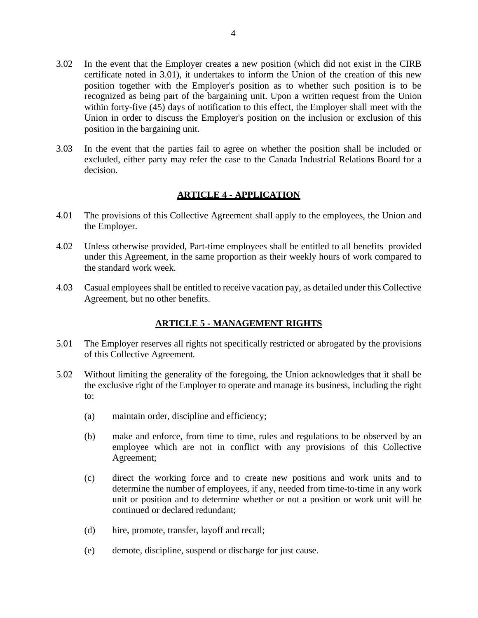- 3.02 In the event that the Employer creates a new position (which did not exist in the CIRB certificate noted in 3.01), it undertakes to inform the Union of the creation of this new position together with the Employer's position as to whether such position is to be recognized as being part of the bargaining unit. Upon a written request from the Union within forty-five (45) days of notification to this effect, the Employer shall meet with the Union in order to discuss the Employer's position on the inclusion or exclusion of this position in the bargaining unit.
- 3.03 In the event that the parties fail to agree on whether the position shall be included or excluded, either party may refer the case to the Canada Industrial Relations Board for a decision.

# **ARTICLE 4 - APPLICATION**

- 4.01 The provisions of this Collective Agreement shall apply to the employees, the Union and the Employer.
- 4.02 Unless otherwise provided, Part-time employees shall be entitled to all benefits provided under this Agreement, in the same proportion as their weekly hours of work compared to the standard work week.
- 4.03 Casual employees shall be entitled to receive vacation pay, as detailed under this Collective Agreement, but no other benefits.

# **ARTICLE 5 - MANAGEMENT RIGHTS**

- 5.01 The Employer reserves all rights not specifically restricted or abrogated by the provisions of this Collective Agreement.
- 5.02 Without limiting the generality of the foregoing, the Union acknowledges that it shall be the exclusive right of the Employer to operate and manage its business, including the right to:
	- (a) maintain order, discipline and efficiency;
	- (b) make and enforce, from time to time, rules and regulations to be observed by an employee which are not in conflict with any provisions of this Collective Agreement;
	- (c) direct the working force and to create new positions and work units and to determine the number of employees, if any, needed from time-to-time in any work unit or position and to determine whether or not a position or work unit will be continued or declared redundant;
	- (d) hire, promote, transfer, layoff and recall;
	- (e) demote, discipline, suspend or discharge for just cause.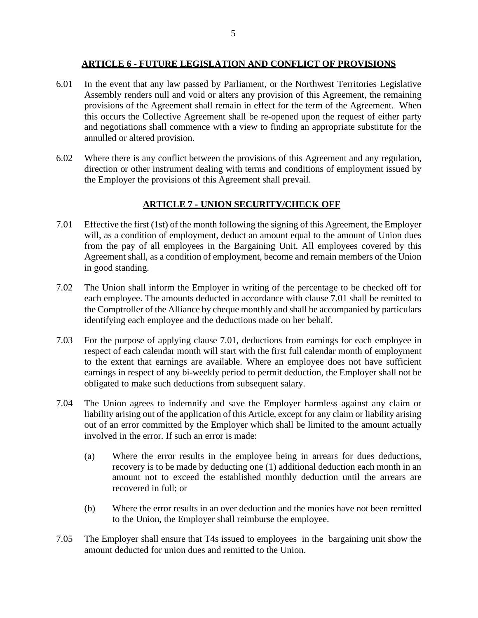#### **ARTICLE 6 - FUTURE LEGISLATION AND CONFLICT OF PROVISIONS**

- 6.01 In the event that any law passed by Parliament, or the Northwest Territories Legislative Assembly renders null and void or alters any provision of this Agreement, the remaining provisions of the Agreement shall remain in effect for the term of the Agreement. When this occurs the Collective Agreement shall be re-opened upon the request of either party and negotiations shall commence with a view to finding an appropriate substitute for the annulled or altered provision.
- 6.02 Where there is any conflict between the provisions of this Agreement and any regulation, direction or other instrument dealing with terms and conditions of employment issued by the Employer the provisions of this Agreement shall prevail.

## **ARTICLE 7 - UNION SECURITY/CHECK OFF**

- 7.01 Effective the first (1st) of the month following the signing of this Agreement, the Employer will, as a condition of employment, deduct an amount equal to the amount of Union dues from the pay of all employees in the Bargaining Unit. All employees covered by this Agreement shall, as a condition of employment, become and remain members of the Union in good standing.
- 7.02 The Union shall inform the Employer in writing of the percentage to be checked off for each employee. The amounts deducted in accordance with clause 7.01 shall be remitted to the Comptroller of the Alliance by cheque monthly and shall be accompanied by particulars identifying each employee and the deductions made on her behalf.
- 7.03 For the purpose of applying clause 7.01, deductions from earnings for each employee in respect of each calendar month will start with the first full calendar month of employment to the extent that earnings are available. Where an employee does not have sufficient earnings in respect of any bi-weekly period to permit deduction, the Employer shall not be obligated to make such deductions from subsequent salary.
- 7.04 The Union agrees to indemnify and save the Employer harmless against any claim or liability arising out of the application of this Article, except for any claim or liability arising out of an error committed by the Employer which shall be limited to the amount actually involved in the error. If such an error is made:
	- (a) Where the error results in the employee being in arrears for dues deductions, recovery is to be made by deducting one (1) additional deduction each month in an amount not to exceed the established monthly deduction until the arrears are recovered in full; or
	- (b) Where the error results in an over deduction and the monies have not been remitted to the Union, the Employer shall reimburse the employee.
- 7.05 The Employer shall ensure that T4s issued to employees in the bargaining unit show the amount deducted for union dues and remitted to the Union.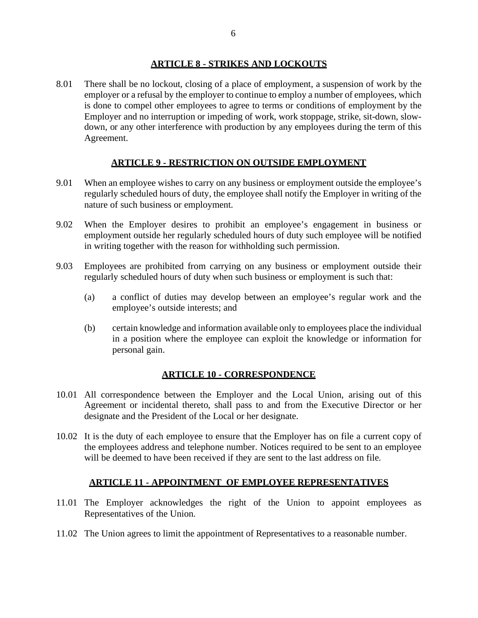#### **ARTICLE 8 - STRIKES AND LOCKOUTS**

8.01 There shall be no lockout, closing of a place of employment, a suspension of work by the employer or a refusal by the employer to continue to employ a number of employees, which is done to compel other employees to agree to terms or conditions of employment by the Employer and no interruption or impeding of work, work stoppage, strike, sit-down, slowdown, or any other interference with production by any employees during the term of this Agreement.

# **ARTICLE 9 - RESTRICTION ON OUTSIDE EMPLOYMENT**

- 9.01 When an employee wishes to carry on any business or employment outside the employee's regularly scheduled hours of duty, the employee shall notify the Employer in writing of the nature of such business or employment.
- 9.02 When the Employer desires to prohibit an employee's engagement in business or employment outside her regularly scheduled hours of duty such employee will be notified in writing together with the reason for withholding such permission.
- 9.03 Employees are prohibited from carrying on any business or employment outside their regularly scheduled hours of duty when such business or employment is such that:
	- (a) a conflict of duties may develop between an employee's regular work and the employee's outside interests; and
	- (b) certain knowledge and information available only to employees place the individual in a position where the employee can exploit the knowledge or information for personal gain.

## **ARTICLE 10 - CORRESPONDENCE**

- 10.01 All correspondence between the Employer and the Local Union, arising out of this Agreement or incidental thereto, shall pass to and from the Executive Director or her designate and the President of the Local or her designate.
- 10.02 It is the duty of each employee to ensure that the Employer has on file a current copy of the employees address and telephone number. Notices required to be sent to an employee will be deemed to have been received if they are sent to the last address on file.

# **ARTICLE 11 - APPOINTMENT OF EMPLOYEE REPRESENTATIVES**

- 11.01 The Employer acknowledges the right of the Union to appoint employees as Representatives of the Union.
- 11.02 The Union agrees to limit the appointment of Representatives to a reasonable number.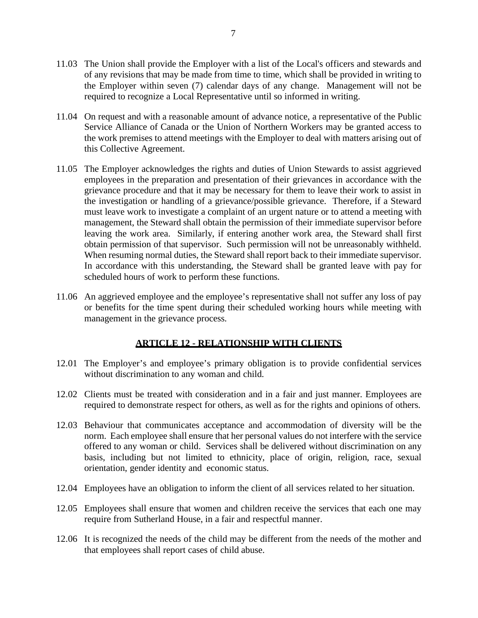- 11.03 The Union shall provide the Employer with a list of the Local's officers and stewards and of any revisions that may be made from time to time, which shall be provided in writing to the Employer within seven (7) calendar days of any change. Management will not be required to recognize a Local Representative until so informed in writing.
- 11.04 On request and with a reasonable amount of advance notice, a representative of the Public Service Alliance of Canada or the Union of Northern Workers may be granted access to the work premises to attend meetings with the Employer to deal with matters arising out of this Collective Agreement.
- 11.05 The Employer acknowledges the rights and duties of Union Stewards to assist aggrieved employees in the preparation and presentation of their grievances in accordance with the grievance procedure and that it may be necessary for them to leave their work to assist in the investigation or handling of a grievance/possible grievance. Therefore, if a Steward must leave work to investigate a complaint of an urgent nature or to attend a meeting with management, the Steward shall obtain the permission of their immediate supervisor before leaving the work area. Similarly, if entering another work area, the Steward shall first obtain permission of that supervisor. Such permission will not be unreasonably withheld. When resuming normal duties, the Steward shall report back to their immediate supervisor. In accordance with this understanding, the Steward shall be granted leave with pay for scheduled hours of work to perform these functions.
- 11.06 An aggrieved employee and the employee's representative shall not suffer any loss of pay or benefits for the time spent during their scheduled working hours while meeting with management in the grievance process.

# **ARTICLE 12 - RELATIONSHIP WITH CLIENTS**

- 12.01 The Employer's and employee's primary obligation is to provide confidential services without discrimination to any woman and child.
- 12.02 Clients must be treated with consideration and in a fair and just manner. Employees are required to demonstrate respect for others, as well as for the rights and opinions of others.
- 12.03 Behaviour that communicates acceptance and accommodation of diversity will be the norm. Each employee shall ensure that her personal values do not interfere with the service offered to any woman or child. Services shall be delivered without discrimination on any basis, including but not limited to ethnicity, place of origin, religion, race, sexual orientation, gender identity and economic status.
- 12.04 Employees have an obligation to inform the client of all services related to her situation.
- 12.05 Employees shall ensure that women and children receive the services that each one may require from Sutherland House, in a fair and respectful manner.
- 12.06 It is recognized the needs of the child may be different from the needs of the mother and that employees shall report cases of child abuse.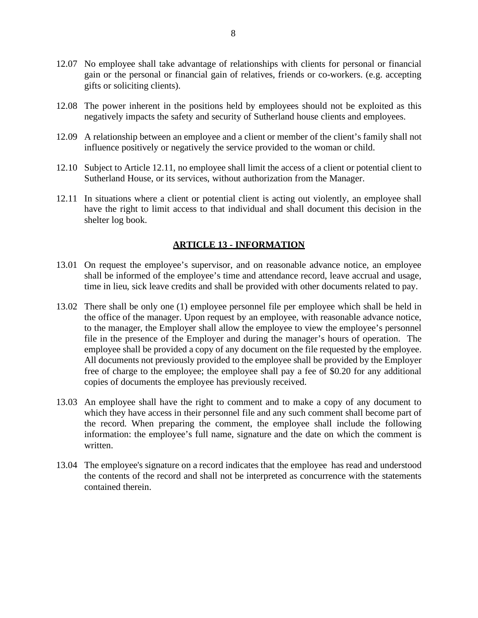- 12.07 No employee shall take advantage of relationships with clients for personal or financial gain or the personal or financial gain of relatives, friends or co-workers. (e.g. accepting gifts or soliciting clients).
- 12.08 The power inherent in the positions held by employees should not be exploited as this negatively impacts the safety and security of Sutherland house clients and employees.
- 12.09 A relationship between an employee and a client or member of the client's family shall not influence positively or negatively the service provided to the woman or child.
- 12.10 Subject to Article 12.11, no employee shall limit the access of a client or potential client to Sutherland House, or its services, without authorization from the Manager.
- 12.11 In situations where a client or potential client is acting out violently, an employee shall have the right to limit access to that individual and shall document this decision in the shelter log book.

## **ARTICLE 13 - INFORMATION**

- 13.01 On request the employee's supervisor, and on reasonable advance notice, an employee shall be informed of the employee's time and attendance record, leave accrual and usage, time in lieu, sick leave credits and shall be provided with other documents related to pay.
- 13.02 There shall be only one (1) employee personnel file per employee which shall be held in the office of the manager. Upon request by an employee, with reasonable advance notice, to the manager, the Employer shall allow the employee to view the employee's personnel file in the presence of the Employer and during the manager's hours of operation. The employee shall be provided a copy of any document on the file requested by the employee. All documents not previously provided to the employee shall be provided by the Employer free of charge to the employee; the employee shall pay a fee of \$0.20 for any additional copies of documents the employee has previously received.
- 13.03 An employee shall have the right to comment and to make a copy of any document to which they have access in their personnel file and any such comment shall become part of the record. When preparing the comment, the employee shall include the following information: the employee's full name, signature and the date on which the comment is written.
- 13.04 The employee's signature on a record indicates that the employee has read and understood the contents of the record and shall not be interpreted as concurrence with the statements contained therein.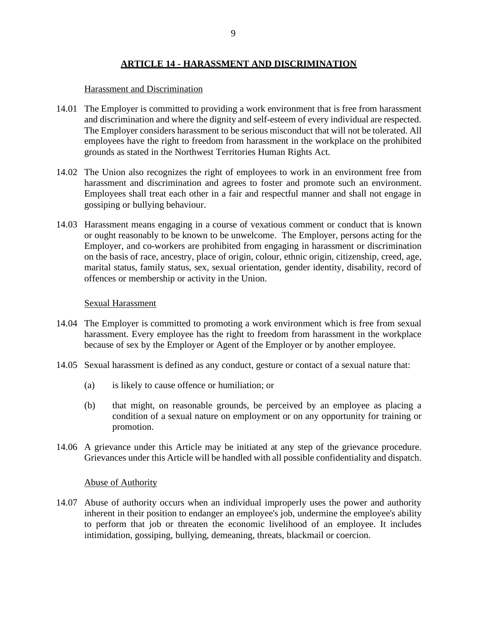## **ARTICLE 14 - HARASSMENT AND DISCRIMINATION**

#### Harassment and Discrimination

- 14.01 The Employer is committed to providing a work environment that is free from harassment and discrimination and where the dignity and self-esteem of every individual are respected. The Employer considers harassment to be serious misconduct that will not be tolerated. All employees have the right to freedom from harassment in the workplace on the prohibited grounds as stated in the Northwest Territories Human Rights Act.
- 14.02 The Union also recognizes the right of employees to work in an environment free from harassment and discrimination and agrees to foster and promote such an environment. Employees shall treat each other in a fair and respectful manner and shall not engage in gossiping or bullying behaviour.
- 14.03 Harassment means engaging in a course of vexatious comment or conduct that is known or ought reasonably to be known to be unwelcome. The Employer, persons acting for the Employer, and co-workers are prohibited from engaging in harassment or discrimination on the basis of race, ancestry, place of origin, colour, ethnic origin, citizenship, creed, age, marital status, family status, sex, sexual orientation, gender identity, disability, record of offences or membership or activity in the Union.

#### Sexual Harassment

- 14.04 The Employer is committed to promoting a work environment which is free from sexual harassment. Every employee has the right to freedom from harassment in the workplace because of sex by the Employer or Agent of the Employer or by another employee.
- 14.05 Sexual harassment is defined as any conduct, gesture or contact of a sexual nature that:
	- (a) is likely to cause offence or humiliation; or
	- (b) that might, on reasonable grounds, be perceived by an employee as placing a condition of a sexual nature on employment or on any opportunity for training or promotion.
- 14.06 A grievance under this Article may be initiated at any step of the grievance procedure. Grievances under this Article will be handled with all possible confidentiality and dispatch.

#### Abuse of Authority

14.07 Abuse of authority occurs when an individual improperly uses the power and authority inherent in their position to endanger an employee's job, undermine the employee's ability to perform that job or threaten the economic livelihood of an employee. It includes intimidation, gossiping, bullying, demeaning, threats, blackmail or coercion.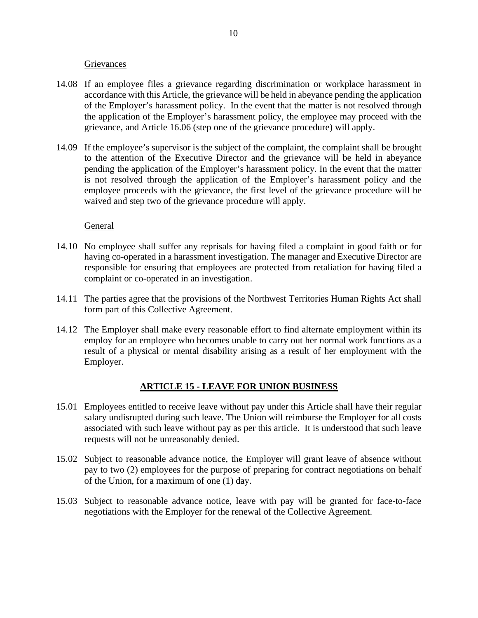#### **Grievances**

- 14.08 If an employee files a grievance regarding discrimination or workplace harassment in accordance with this Article, the grievance will be held in abeyance pending the application of the Employer's harassment policy. In the event that the matter is not resolved through the application of the Employer's harassment policy, the employee may proceed with the grievance, and Article [16.06](#page-14-0) (step one of the grievance procedure) will apply.
- 14.09 If the employee's supervisor is the subject of the complaint, the complaint shall be brought to the attention of the Executive Director and the grievance will be held in abeyance pending the application of the Employer's harassment policy. In the event that the matter is not resolved through the application of the Employer's harassment policy and the employee proceeds with the grievance, the first level of the grievance procedure will be waived and step two of the grievance procedure will apply.

## General

- 14.10 No employee shall suffer any reprisals for having filed a complaint in good faith or for having co-operated in a harassment investigation. The manager and Executive Director are responsible for ensuring that employees are protected from retaliation for having filed a complaint or co-operated in an investigation.
- 14.11 The parties agree that the provisions of the Northwest Territories Human Rights Act shall form part of this Collective Agreement.
- 14.12 The Employer shall make every reasonable effort to find alternate employment within its employ for an employee who becomes unable to carry out her normal work functions as a result of a physical or mental disability arising as a result of her employment with the Employer.

## **ARTICLE 15 - LEAVE FOR UNION BUSINESS**

- 15.01 Employees entitled to receive leave without pay under this Article shall have their regular salary undisrupted during such leave. The Union will reimburse the Employer for all costs associated with such leave without pay as per this article. It is understood that such leave requests will not be unreasonably denied.
- 15.02 Subject to reasonable advance notice, the Employer will grant leave of absence without pay to two (2) employees for the purpose of preparing for contract negotiations on behalf of the Union, for a maximum of one (1) day.
- 15.03 Subject to reasonable advance notice, leave with pay will be granted for face-to-face negotiations with the Employer for the renewal of the Collective Agreement.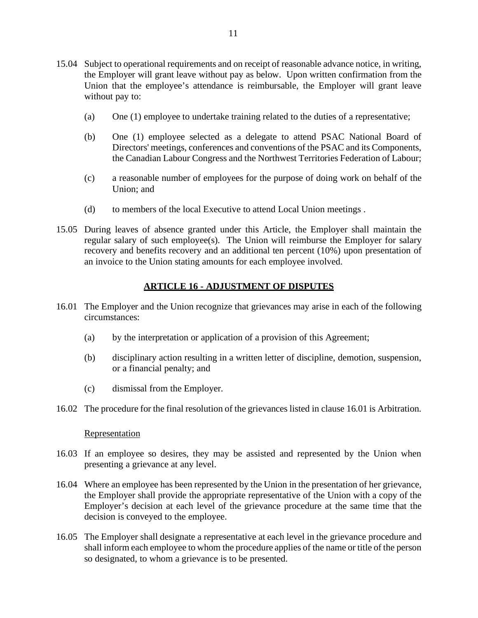- 15.04 Subject to operational requirements and on receipt of reasonable advance notice, in writing, the Employer will grant leave without pay as below. Upon written confirmation from the Union that the employee's attendance is reimbursable, the Employer will grant leave without pay to:
	- (a) One (1) employee to undertake training related to the duties of a representative;
	- (b) One (1) employee selected as a delegate to attend PSAC National Board of Directors' meetings, conferences and conventions of the PSAC and its Components, the Canadian Labour Congress and the Northwest Territories Federation of Labour;
	- (c) a reasonable number of employees for the purpose of doing work on behalf of the Union; and
	- (d) to members of the local Executive to attend Local Union meetings .
- 15.05 During leaves of absence granted under this Article, the Employer shall maintain the regular salary of such employee(s). The Union will reimburse the Employer for salary recovery and benefits recovery and an additional ten percent (10%) upon presentation of an invoice to the Union stating amounts for each employee involved.

# **ARTICLE 16 - ADJUSTMENT OF DISPUTES**

- 16.01 The Employer and the Union recognize that grievances may arise in each of the following circumstances:
	- (a) by the interpretation or application of a provision of this Agreement;
	- (b) disciplinary action resulting in a written letter of discipline, demotion, suspension, or a financial penalty; and
	- (c) dismissal from the Employer.
- 16.02 The procedure for the final resolution of the grievances listed in clause 16.01 is Arbitration.

#### **Representation**

- 16.03 If an employee so desires, they may be assisted and represented by the Union when presenting a grievance at any level.
- 16.04 Where an employee has been represented by the Union in the presentation of her grievance, the Employer shall provide the appropriate representative of the Union with a copy of the Employer's decision at each level of the grievance procedure at the same time that the decision is conveyed to the employee.
- 16.05 The Employer shall designate a representative at each level in the grievance procedure and shall inform each employee to whom the procedure applies of the name or title of the person so designated, to whom a grievance is to be presented.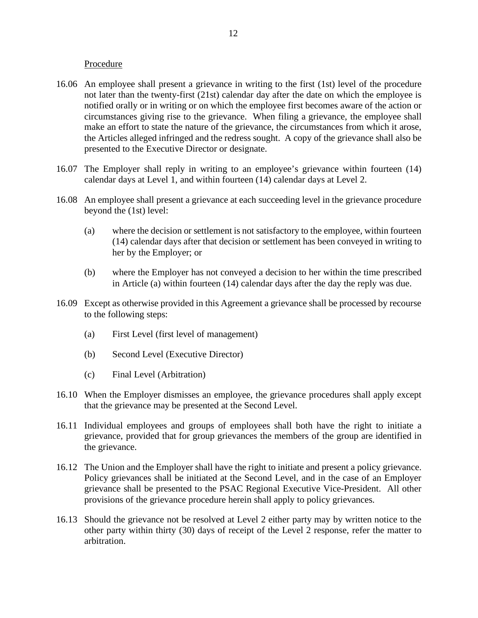#### Procedure

- <span id="page-14-0"></span>16.06 An employee shall present a grievance in writing to the first (1st) level of the procedure not later than the twenty-first (21st) calendar day after the date on which the employee is notified orally or in writing or on which the employee first becomes aware of the action or circumstances giving rise to the grievance. When filing a grievance, the employee shall make an effort to state the nature of the grievance, the circumstances from which it arose, the Articles alleged infringed and the redress sought. A copy of the grievance shall also be presented to the Executive Director or designate.
- 16.07 The Employer shall reply in writing to an employee's grievance within fourteen (14) calendar days at Level 1, and within fourteen (14) calendar days at Level 2.
- <span id="page-14-1"></span>16.08 An employee shall present a grievance at each succeeding level in the grievance procedure beyond the (1st) level:
	- (a) where the decision or settlement is not satisfactory to the employee, within fourteen (14) calendar days after that decision or settlement has been conveyed in writing to her by the Employer; or
	- (b) where the Employer has not conveyed a decision to her within the time prescribed in Article [\(a\)](#page-14-1) within fourteen (14) calendar days after the day the reply was due.
- 16.09 Except as otherwise provided in this Agreement a grievance shall be processed by recourse to the following steps:
	- (a) First Level (first level of management)
	- (b) Second Level (Executive Director)
	- (c) Final Level (Arbitration)
- 16.10 When the Employer dismisses an employee, the grievance procedures shall apply except that the grievance may be presented at the Second Level.
- 16.11 Individual employees and groups of employees shall both have the right to initiate a grievance, provided that for group grievances the members of the group are identified in the grievance.
- 16.12 The Union and the Employer shall have the right to initiate and present a policy grievance. Policy grievances shall be initiated at the Second Level, and in the case of an Employer grievance shall be presented to the PSAC Regional Executive Vice-President. All other provisions of the grievance procedure herein shall apply to policy grievances.
- 16.13 Should the grievance not be resolved at Level 2 either party may by written notice to the other party within thirty (30) days of receipt of the Level 2 response, refer the matter to arbitration.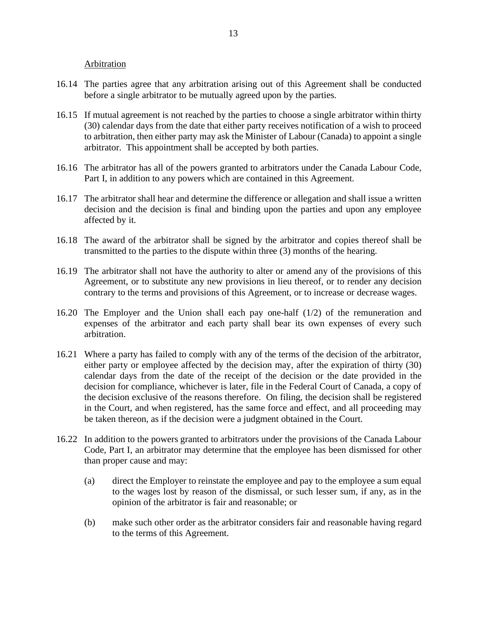Arbitration

- 16.14 The parties agree that any arbitration arising out of this Agreement shall be conducted before a single arbitrator to be mutually agreed upon by the parties.
- 16.15 If mutual agreement is not reached by the parties to choose a single arbitrator within thirty (30) calendar days from the date that either party receives notification of a wish to proceed to arbitration, then either party may ask the Minister of Labour (Canada) to appoint a single arbitrator. This appointment shall be accepted by both parties.
- 16.16 The arbitrator has all of the powers granted to arbitrators under the Canada Labour Code, Part I, in addition to any powers which are contained in this Agreement.
- 16.17 The arbitrator shall hear and determine the difference or allegation and shall issue a written decision and the decision is final and binding upon the parties and upon any employee affected by it.
- 16.18 The award of the arbitrator shall be signed by the arbitrator and copies thereof shall be transmitted to the parties to the dispute within three (3) months of the hearing.
- 16.19 The arbitrator shall not have the authority to alter or amend any of the provisions of this Agreement, or to substitute any new provisions in lieu thereof, or to render any decision contrary to the terms and provisions of this Agreement, or to increase or decrease wages.
- 16.20 The Employer and the Union shall each pay one-half (1/2) of the remuneration and expenses of the arbitrator and each party shall bear its own expenses of every such arbitration.
- 16.21 Where a party has failed to comply with any of the terms of the decision of the arbitrator, either party or employee affected by the decision may, after the expiration of thirty (30) calendar days from the date of the receipt of the decision or the date provided in the decision for compliance, whichever is later, file in the Federal Court of Canada, a copy of the decision exclusive of the reasons therefore. On filing, the decision shall be registered in the Court, and when registered, has the same force and effect, and all proceeding may be taken thereon, as if the decision were a judgment obtained in the Court.
- 16.22 In addition to the powers granted to arbitrators under the provisions of the Canada Labour Code, Part I, an arbitrator may determine that the employee has been dismissed for other than proper cause and may:
	- (a) direct the Employer to reinstate the employee and pay to the employee a sum equal to the wages lost by reason of the dismissal, or such lesser sum, if any, as in the opinion of the arbitrator is fair and reasonable; or
	- (b) make such other order as the arbitrator considers fair and reasonable having regard to the terms of this Agreement.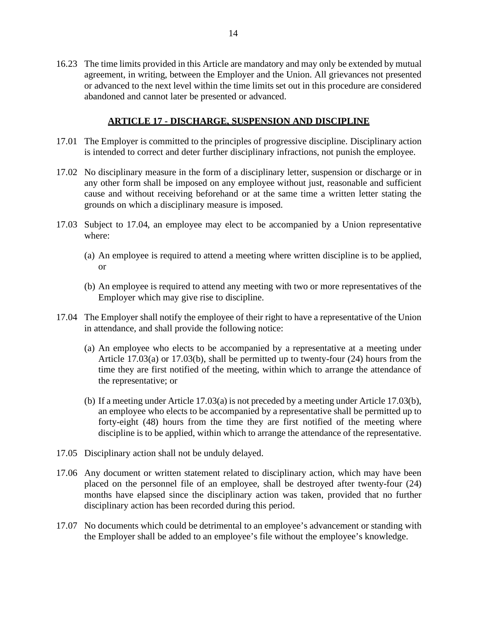16.23 The time limits provided in this Article are mandatory and may only be extended by mutual agreement, in writing, between the Employer and the Union. All grievances not presented or advanced to the next level within the time limits set out in this procedure are considered abandoned and cannot later be presented or advanced.

## **ARTICLE 17 - DISCHARGE, SUSPENSION AND DISCIPLINE**

- 17.01 The Employer is committed to the principles of progressive discipline. Disciplinary action is intended to correct and deter further disciplinary infractions, not punish the employee.
- 17.02 No disciplinary measure in the form of a disciplinary letter, suspension or discharge or in any other form shall be imposed on any employee without just, reasonable and sufficient cause and without receiving beforehand or at the same time a written letter stating the grounds on which a disciplinary measure is imposed.
- 17.03 Subject to 17.04, an employee may elect to be accompanied by a Union representative where:
	- (a) An employee is required to attend a meeting where written discipline is to be applied, or
	- (b) An employee is required to attend any meeting with two or more representatives of the Employer which may give rise to discipline.
- 17.04 The Employer shall notify the employee of their right to have a representative of the Union in attendance, and shall provide the following notice:
	- (a) An employee who elects to be accompanied by a representative at a meeting under Article 17.03(a) or 17.03(b), shall be permitted up to twenty-four (24) hours from the time they are first notified of the meeting, within which to arrange the attendance of the representative; or
	- (b) If a meeting under Article 17.03(a) is not preceded by a meeting under Article 17.03(b), an employee who elects to be accompanied by a representative shall be permitted up to forty-eight (48) hours from the time they are first notified of the meeting where discipline is to be applied, within which to arrange the attendance of the representative.
- 17.05 Disciplinary action shall not be unduly delayed.
- 17.06 Any document or written statement related to disciplinary action, which may have been placed on the personnel file of an employee, shall be destroyed after twenty-four (24) months have elapsed since the disciplinary action was taken, provided that no further disciplinary action has been recorded during this period.
- 17.07 No documents which could be detrimental to an employee's advancement or standing with the Employer shall be added to an employee's file without the employee's knowledge.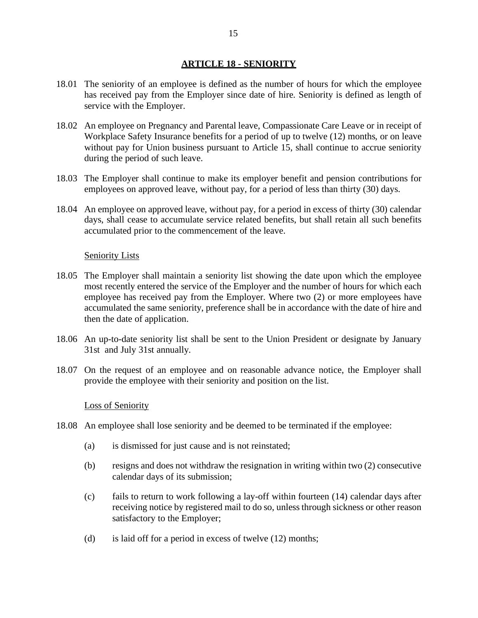## **ARTICLE 18 - SENIORITY**

- 18.01 The seniority of an employee is defined as the number of hours for which the employee has received pay from the Employer since date of hire. Seniority is defined as length of service with the Employer.
- 18.02 An employee on Pregnancy and Parental leave, Compassionate Care Leave or in receipt of Workplace Safety Insurance benefits for a period of up to twelve (12) months, or on leave without pay for Union business pursuant to Article 15, shall continue to accrue seniority during the period of such leave.
- 18.03 The Employer shall continue to make its employer benefit and pension contributions for employees on approved leave, without pay, for a period of less than thirty (30) days.
- 18.04 An employee on approved leave, without pay, for a period in excess of thirty (30) calendar days, shall cease to accumulate service related benefits, but shall retain all such benefits accumulated prior to the commencement of the leave.

#### **Seniority Lists**

- 18.05 The Employer shall maintain a seniority list showing the date upon which the employee most recently entered the service of the Employer and the number of hours for which each employee has received pay from the Employer. Where two (2) or more employees have accumulated the same seniority, preference shall be in accordance with the date of hire and then the date of application.
- 18.06 An up-to-date seniority list shall be sent to the Union President or designate by January 31st and July 31st annually.
- 18.07 On the request of an employee and on reasonable advance notice, the Employer shall provide the employee with their seniority and position on the list.

#### Loss of Seniority

- 18.08 An employee shall lose seniority and be deemed to be terminated if the employee:
	- (a) is dismissed for just cause and is not reinstated;
	- (b) resigns and does not withdraw the resignation in writing within two (2) consecutive calendar days of its submission;
	- (c) fails to return to work following a lay-off within fourteen (14) calendar days after receiving notice by registered mail to do so, unless through sickness or other reason satisfactory to the Employer;
	- (d) is laid off for a period in excess of twelve  $(12)$  months;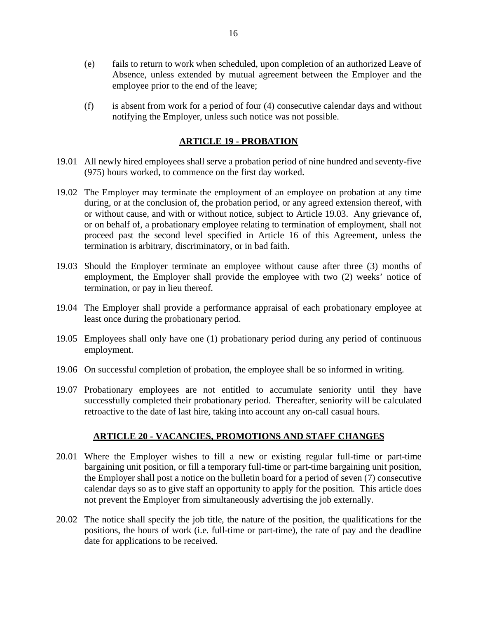- (e) fails to return to work when scheduled, upon completion of an authorized Leave of Absence, unless extended by mutual agreement between the Employer and the employee prior to the end of the leave;
- (f) is absent from work for a period of four (4) consecutive calendar days and without notifying the Employer, unless such notice was not possible.

## **ARTICLE 19 - PROBATION**

- 19.01 All newly hired employees shall serve a probation period of nine hundred and seventy-five (975) hours worked, to commence on the first day worked.
- 19.02 The Employer may terminate the employment of an employee on probation at any time during, or at the conclusion of, the probation period, or any agreed extension thereof, with or without cause, and with or without notice, subject to Article [19.03.](#page-18-0) Any grievance of, or on behalf of, a probationary employee relating to termination of employment, shall not proceed past the second level specified in Article 16 of this Agreement, unless the termination is arbitrary, discriminatory, or in bad faith.
- <span id="page-18-0"></span>19.03 Should the Employer terminate an employee without cause after three (3) months of employment, the Employer shall provide the employee with two (2) weeks' notice of termination, or pay in lieu thereof.
- 19.04 The Employer shall provide a performance appraisal of each probationary employee at least once during the probationary period.
- 19.05 Employees shall only have one (1) probationary period during any period of continuous employment.
- 19.06 On successful completion of probation, the employee shall be so informed in writing.
- 19.07 Probationary employees are not entitled to accumulate seniority until they have successfully completed their probationary period. Thereafter, seniority will be calculated retroactive to the date of last hire, taking into account any on-call casual hours.

#### **ARTICLE 20 - VACANCIES, PROMOTIONS AND STAFF CHANGES**

- 20.01 Where the Employer wishes to fill a new or existing regular full-time or part-time bargaining unit position, or fill a temporary full-time or part-time bargaining unit position, the Employer shall post a notice on the bulletin board for a period of seven (7) consecutive calendar days so as to give staff an opportunity to apply for the position. This article does not prevent the Employer from simultaneously advertising the job externally.
- 20.02 The notice shall specify the job title, the nature of the position, the qualifications for the positions, the hours of work (i.e. full-time or part-time), the rate of pay and the deadline date for applications to be received.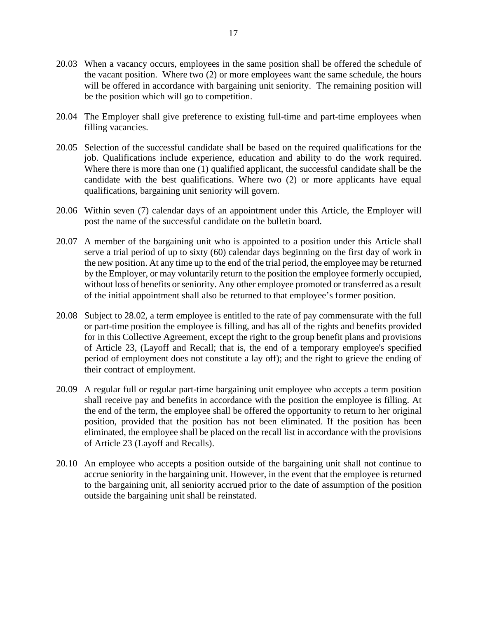- 20.03 When a vacancy occurs, employees in the same position shall be offered the schedule of the vacant position. Where two (2) or more employees want the same schedule, the hours will be offered in accordance with bargaining unit seniority. The remaining position will be the position which will go to competition.
- 20.04 The Employer shall give preference to existing full-time and part-time employees when filling vacancies.
- 20.05 Selection of the successful candidate shall be based on the required qualifications for the job. Qualifications include experience, education and ability to do the work required. Where there is more than one (1) qualified applicant, the successful candidate shall be the candidate with the best qualifications. Where two (2) or more applicants have equal qualifications, bargaining unit seniority will govern.
- 20.06 Within seven (7) calendar days of an appointment under this Article, the Employer will post the name of the successful candidate on the bulletin board.
- 20.07 A member of the bargaining unit who is appointed to a position under this Article shall serve a trial period of up to sixty (60) calendar days beginning on the first day of work in the new position. At any time up to the end of the trial period, the employee may be returned by the Employer, or may voluntarily return to the position the employee formerly occupied, without loss of benefits or seniority. Any other employee promoted or transferred as a result of the initial appointment shall also be returned to that employee's former position.
- 20.08 Subject to [28.02,](#page-27-0) a term employee is entitled to the rate of pay commensurate with the full or part-time position the employee is filling, and has all of the rights and benefits provided for in this Collective Agreement, except the right to the group benefit plans and provisions of Article 23, (Layoff and Recall; that is, the end of a temporary employee's specified period of employment does not constitute a lay off); and the right to grieve the ending of their contract of employment.
- 20.09 A regular full or regular part-time bargaining unit employee who accepts a term position shall receive pay and benefits in accordance with the position the employee is filling. At the end of the term, the employee shall be offered the opportunity to return to her original position, provided that the position has not been eliminated. If the position has been eliminated, the employee shall be placed on the recall list in accordance with the provisions of Article 23 (Layoff and Recalls).
- 20.10 An employee who accepts a position outside of the bargaining unit shall not continue to accrue seniority in the bargaining unit. However, in the event that the employee is returned to the bargaining unit, all seniority accrued prior to the date of assumption of the position outside the bargaining unit shall be reinstated.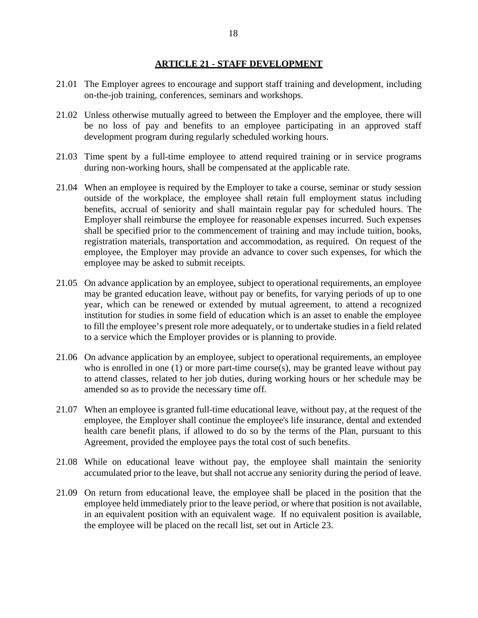#### **ARTICLE 21 - STAFF DEVELOPMENT**

- 21.01 The Employer agrees to encourage and support staff training and development, including on-the-job training, conferences, seminars and workshops.
- 21.02 Unless otherwise mutually agreed to between the Employer and the employee, there will be no loss of pay and benefits to an employee participating in an approved staff development program during regularly scheduled working hours.
- 21.03 Time spent by a full-time employee to attend required training or in service programs during non-working hours, shall be compensated at the applicable rate.
- 21.04 When an employee is required by the Employer to take a course, seminar or study session outside of the workplace, the employee shall retain full employment status including benefits, accrual of seniority and shall maintain regular pay for scheduled hours. The Employer shall reimburse the employee for reasonable expenses incurred. Such expenses shall be specified prior to the commencement of training and may include tuition, books, registration materials, transportation and accommodation, as required. On request of the employee, the Employer may provide an advance to cover such expenses, for which the employee may be asked to submit receipts.
- 21.05 On advance application by an employee, subject to operational requirements, an employee may be granted education leave, without pay or benefits, for varying periods of up to one year, which can be renewed or extended by mutual agreement, to attend a recognized institution for studies in some field of education which is an asset to enable the employee to fill the employee's present role more adequately, or to undertake studies in a field related to a service which the Employer provides or is planning to provide.
- 21.06 On advance application by an employee, subject to operational requirements, an employee who is enrolled in one (1) or more part-time course(s), may be granted leave without pay to attend classes, related to her job duties, during working hours or her schedule may be amended so as to provide the necessary time off.
- 21.07 When an employee is granted full-time educational leave, without pay, at the request of the employee, the Employer shall continue the employee's life insurance, dental and extended health care benefit plans, if allowed to do so by the terms of the Plan, pursuant to this Agreement, provided the employee pays the total cost of such benefits.
- 21.08 While on educational leave without pay, the employee shall maintain the seniority accumulated prior to the leave, but shall not accrue any seniority during the period of leave.
- 21.09 On return from educational leave, the employee shall be placed in the position that the employee held immediately prior to the leave period, or where that position is not available, in an equivalent position with an equivalent wage. If no equivalent position is available, the employee will be placed on the recall list, set out in Article 23.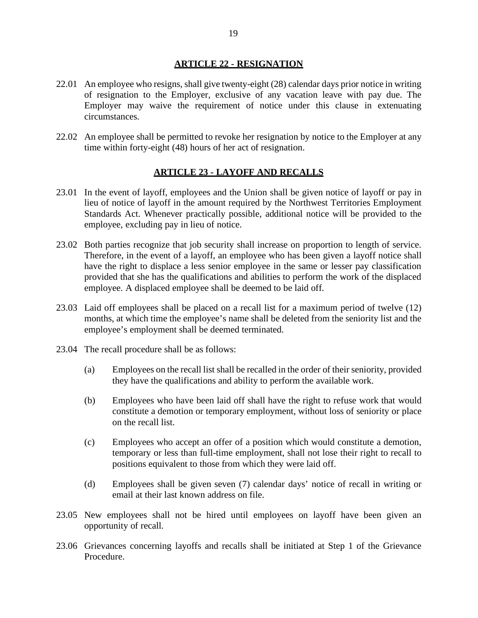#### **ARTICLE 22 - RESIGNATION**

- 22.01 An employee who resigns, shall give twenty-eight (28) calendar days prior notice in writing of resignation to the Employer, exclusive of any vacation leave with pay due. The Employer may waive the requirement of notice under this clause in extenuating circumstances.
- 22.02 An employee shall be permitted to revoke her resignation by notice to the Employer at any time within forty-eight (48) hours of her act of resignation.

#### **ARTICLE 23 - LAYOFF AND RECALLS**

- 23.01 In the event of layoff, employees and the Union shall be given notice of layoff or pay in lieu of notice of layoff in the amount required by the Northwest Territories Employment Standards Act. Whenever practically possible, additional notice will be provided to the employee, excluding pay in lieu of notice.
- 23.02 Both parties recognize that job security shall increase on proportion to length of service. Therefore, in the event of a layoff, an employee who has been given a layoff notice shall have the right to displace a less senior employee in the same or lesser pay classification provided that she has the qualifications and abilities to perform the work of the displaced employee. A displaced employee shall be deemed to be laid off.
- 23.03 Laid off employees shall be placed on a recall list for a maximum period of twelve (12) months, at which time the employee's name shall be deleted from the seniority list and the employee's employment shall be deemed terminated.
- 23.04 The recall procedure shall be as follows:
	- (a) Employees on the recall list shall be recalled in the order of their seniority, provided they have the qualifications and ability to perform the available work.
	- (b) Employees who have been laid off shall have the right to refuse work that would constitute a demotion or temporary employment, without loss of seniority or place on the recall list.
	- (c) Employees who accept an offer of a position which would constitute a demotion, temporary or less than full-time employment, shall not lose their right to recall to positions equivalent to those from which they were laid off.
	- (d) Employees shall be given seven (7) calendar days' notice of recall in writing or email at their last known address on file.
- 23.05 New employees shall not be hired until employees on layoff have been given an opportunity of recall.
- 23.06 Grievances concerning layoffs and recalls shall be initiated at Step 1 of the Grievance Procedure.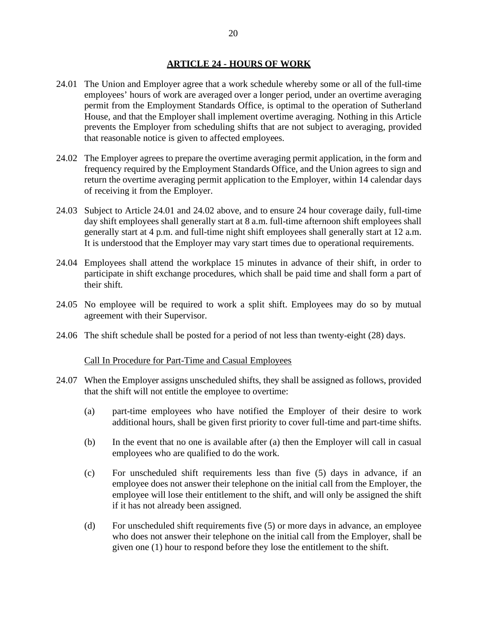#### **ARTICLE 24 - HOURS OF WORK**

- 24.01 The Union and Employer agree that a work schedule whereby some or all of the full-time employees' hours of work are averaged over a longer period, under an overtime averaging permit from the Employment Standards Office, is optimal to the operation of Sutherland House, and that the Employer shall implement overtime averaging. Nothing in this Article prevents the Employer from scheduling shifts that are not subject to averaging, provided that reasonable notice is given to affected employees.
- <span id="page-22-0"></span>24.02 The Employer agrees to prepare the overtime averaging permit application, in the form and frequency required by the Employment Standards Office, and the Union agrees to sign and return the overtime averaging permit application to the Employer, within 14 calendar days of receiving it from the Employer.
- 24.03 Subject to Article 24.01 and [24.02](#page-22-0) above, and to ensure 24 hour coverage daily, full-time day shift employees shall generally start at 8 a.m. full-time afternoon shift employees shall generally start at 4 p.m. and full-time night shift employees shall generally start at 12 a.m. It is understood that the Employer may vary start times due to operational requirements.
- 24.04 Employees shall attend the workplace 15 minutes in advance of their shift, in order to participate in shift exchange procedures, which shall be paid time and shall form a part of their shift.
- 24.05 No employee will be required to work a split shift. Employees may do so by mutual agreement with their Supervisor.
- 24.06 The shift schedule shall be posted for a period of not less than twenty-eight (28) days.

#### Call In Procedure for Part-Time and Casual Employees

- 24.07 When the Employer assigns unscheduled shifts, they shall be assigned as follows, provided that the shift will not entitle the employee to overtime:
	- (a) part-time employees who have notified the Employer of their desire to work additional hours, shall be given first priority to cover full-time and part-time shifts.
	- (b) In the event that no one is available after (a) then the Employer will call in casual employees who are qualified to do the work.
	- (c) For unscheduled shift requirements less than five (5) days in advance, if an employee does not answer their telephone on the initial call from the Employer, the employee will lose their entitlement to the shift, and will only be assigned the shift if it has not already been assigned.
	- (d) For unscheduled shift requirements five (5) or more days in advance, an employee who does not answer their telephone on the initial call from the Employer, shall be given one (1) hour to respond before they lose the entitlement to the shift.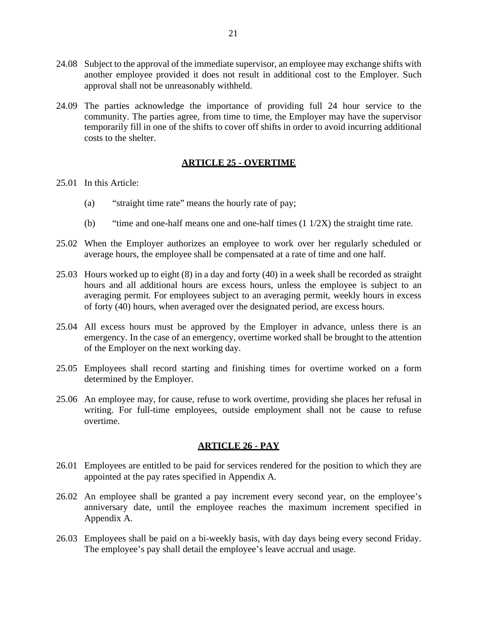- 24.08 Subject to the approval of the immediate supervisor, an employee may exchange shifts with another employee provided it does not result in additional cost to the Employer. Such approval shall not be unreasonably withheld.
- 24.09 The parties acknowledge the importance of providing full 24 hour service to the community. The parties agree, from time to time, the Employer may have the supervisor temporarily fill in one of the shifts to cover off shifts in order to avoid incurring additional costs to the shelter.

## **ARTICLE 25 - OVERTIME**

- 25.01 In this Article:
	- (a) "straight time rate" means the hourly rate of pay;
	- (b) "time and one-half means one and one-half times  $(1 \frac{1}{2X})$  the straight time rate.
- 25.02 When the Employer authorizes an employee to work over her regularly scheduled or average hours, the employee shall be compensated at a rate of time and one half.
- 25.03 Hours worked up to eight (8) in a day and forty (40) in a week shall be recorded as straight hours and all additional hours are excess hours, unless the employee is subject to an averaging permit. For employees subject to an averaging permit, weekly hours in excess of forty (40) hours, when averaged over the designated period, are excess hours.
- 25.04 All excess hours must be approved by the Employer in advance, unless there is an emergency. In the case of an emergency, overtime worked shall be brought to the attention of the Employer on the next working day.
- 25.05 Employees shall record starting and finishing times for overtime worked on a form determined by the Employer.
- 25.06 An employee may, for cause, refuse to work overtime, providing she places her refusal in writing. For full-time employees, outside employment shall not be cause to refuse overtime.

#### **ARTICLE 26 - PAY**

- 26.01 Employees are entitled to be paid for services rendered for the position to which they are appointed at the pay rates specified in Appendix A.
- 26.02 An employee shall be granted a pay increment every second year, on the employee's anniversary date, until the employee reaches the maximum increment specified in Appendix A.
- 26.03 Employees shall be paid on a bi-weekly basis, with day days being every second Friday. The employee's pay shall detail the employee's leave accrual and usage.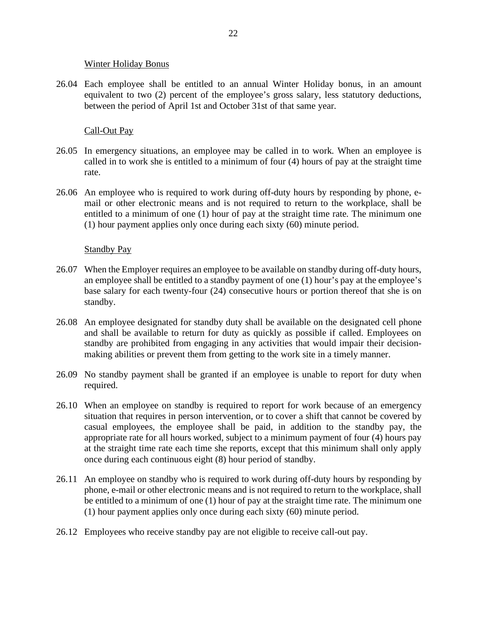#### Winter Holiday Bonus

26.04 Each employee shall be entitled to an annual Winter Holiday bonus, in an amount equivalent to two (2) percent of the employee's gross salary, less statutory deductions, between the period of April 1st and October 31st of that same year.

## Call-Out Pay

- 26.05 In emergency situations, an employee may be called in to work. When an employee is called in to work she is entitled to a minimum of four (4) hours of pay at the straight time rate.
- 26.06 An employee who is required to work during off-duty hours by responding by phone, email or other electronic means and is not required to return to the workplace, shall be entitled to a minimum of one (1) hour of pay at the straight time rate. The minimum one (1) hour payment applies only once during each sixty (60) minute period.

#### Standby Pay

- 26.07 When the Employer requires an employee to be available on standby during off-duty hours, an employee shall be entitled to a standby payment of one (1) hour's pay at the employee's base salary for each twenty-four (24) consecutive hours or portion thereof that she is on standby.
- 26.08 An employee designated for standby duty shall be available on the designated cell phone and shall be available to return for duty as quickly as possible if called. Employees on standby are prohibited from engaging in any activities that would impair their decisionmaking abilities or prevent them from getting to the work site in a timely manner.
- 26.09 No standby payment shall be granted if an employee is unable to report for duty when required.
- 26.10 When an employee on standby is required to report for work because of an emergency situation that requires in person intervention, or to cover a shift that cannot be covered by casual employees, the employee shall be paid, in addition to the standby pay, the appropriate rate for all hours worked, subject to a minimum payment of four (4) hours pay at the straight time rate each time she reports, except that this minimum shall only apply once during each continuous eight (8) hour period of standby.
- 26.11 An employee on standby who is required to work during off-duty hours by responding by phone, e-mail or other electronic means and is not required to return to the workplace, shall be entitled to a minimum of one (1) hour of pay at the straight time rate. The minimum one (1) hour payment applies only once during each sixty (60) minute period.
- 26.12 Employees who receive standby pay are not eligible to receive call-out pay.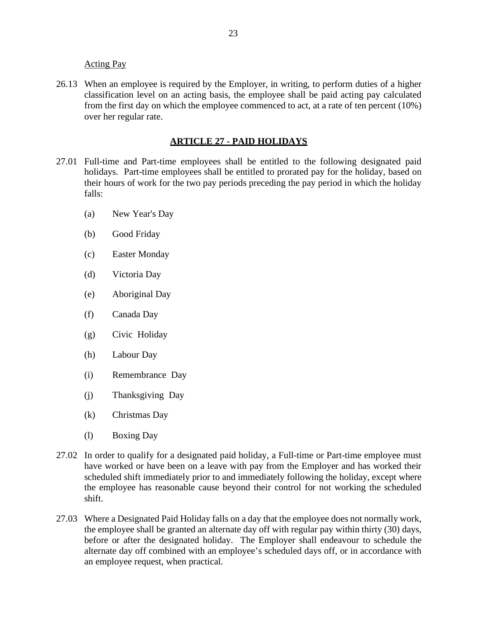Acting Pay

26.13 When an employee is required by the Employer, in writing, to perform duties of a higher classification level on an acting basis, the employee shall be paid acting pay calculated from the first day on which the employee commenced to act, at a rate of ten percent (10%) over her regular rate.

## **ARTICLE 27 - PAID HOLIDAYS**

- 27.01 Full-time and Part-time employees shall be entitled to the following designated paid holidays. Part-time employees shall be entitled to prorated pay for the holiday, based on their hours of work for the two pay periods preceding the pay period in which the holiday falls:
	- (a) New Year's Day
	- (b) Good Friday
	- (c) Easter Monday
	- (d) Victoria Day
	- (e) Aboriginal Day
	- (f) Canada Day
	- (g) Civic Holiday
	- (h) Labour Day
	- (i) Remembrance Day
	- (j) Thanksgiving Day
	- (k) Christmas Day
	- (l) Boxing Day
- 27.02 In order to qualify for a designated paid holiday, a Full-time or Part-time employee must have worked or have been on a leave with pay from the Employer and has worked their scheduled shift immediately prior to and immediately following the holiday, except where the employee has reasonable cause beyond their control for not working the scheduled shift.
- <span id="page-25-0"></span>27.03 Where a Designated Paid Holiday falls on a day that the employee does not normally work, the employee shall be granted an alternate day off with regular pay within thirty (30) days, before or after the designated holiday. The Employer shall endeavour to schedule the alternate day off combined with an employee's scheduled days off, or in accordance with an employee request, when practical.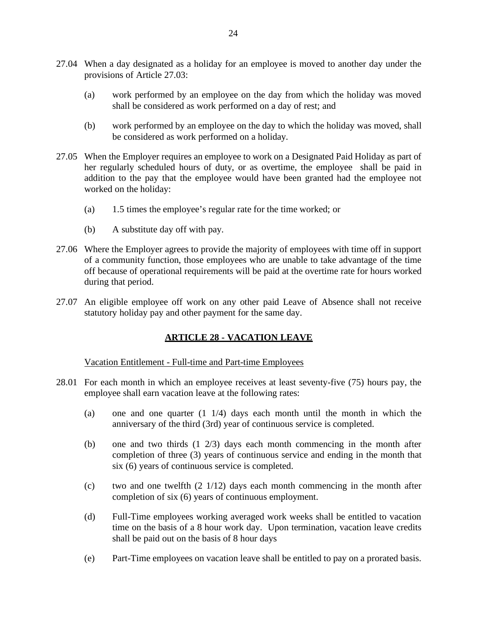- 27.04 When a day designated as a holiday for an employee is moved to another day under the provisions of Article [27.03:](#page-25-0)
	- (a) work performed by an employee on the day from which the holiday was moved shall be considered as work performed on a day of rest; and
	- (b) work performed by an employee on the day to which the holiday was moved, shall be considered as work performed on a holiday.
- 27.05 When the Employer requires an employee to work on a Designated Paid Holiday as part of her regularly scheduled hours of duty, or as overtime, the employee shall be paid in addition to the pay that the employee would have been granted had the employee not worked on the holiday:
	- (a) 1.5 times the employee's regular rate for the time worked; or
	- (b) A substitute day off with pay.
- 27.06 Where the Employer agrees to provide the majority of employees with time off in support of a community function, those employees who are unable to take advantage of the time off because of operational requirements will be paid at the overtime rate for hours worked during that period.
- 27.07 An eligible employee off work on any other paid Leave of Absence shall not receive statutory holiday pay and other payment for the same day.

## **ARTICLE 28 - VACATION LEAVE**

Vacation Entitlement - Full-time and Part-time Employees

- 28.01 For each month in which an employee receives at least seventy-five (75) hours pay, the employee shall earn vacation leave at the following rates:
	- (a) one and one quarter (1 1/4) days each month until the month in which the anniversary of the third (3rd) year of continuous service is completed.
	- (b) one and two thirds  $(1 \t2/3)$  days each month commencing in the month after completion of three (3) years of continuous service and ending in the month that six (6) years of continuous service is completed.
	- (c) two and one twelfth  $(2 \frac{1}{12})$  days each month commencing in the month after completion of six (6) years of continuous employment.
	- (d) Full-Time employees working averaged work weeks shall be entitled to vacation time on the basis of a 8 hour work day. Upon termination, vacation leave credits shall be paid out on the basis of 8 hour days
	- (e) Part-Time employees on vacation leave shall be entitled to pay on a prorated basis.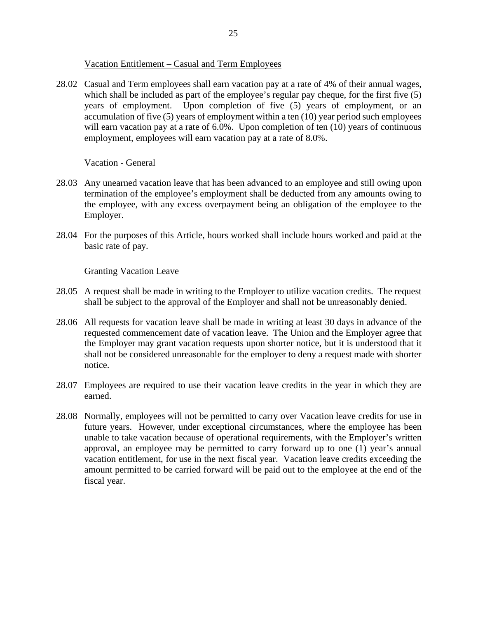## Vacation Entitlement – Casual and Term Employees

<span id="page-27-0"></span>28.02 Casual and Term employees shall earn vacation pay at a rate of 4% of their annual wages, which shall be included as part of the employee's regular pay cheque, for the first five (5) years of employment. Upon completion of five (5) years of employment, or an accumulation of five (5) years of employment within a ten (10) year period such employees will earn vacation pay at a rate of 6.0%. Upon completion of ten (10) years of continuous employment, employees will earn vacation pay at a rate of 8.0%.

#### Vacation - General

- 28.03 Any unearned vacation leave that has been advanced to an employee and still owing upon termination of the employee's employment shall be deducted from any amounts owing to the employee, with any excess overpayment being an obligation of the employee to the Employer.
- 28.04 For the purposes of this Article, hours worked shall include hours worked and paid at the basic rate of pay.

#### Granting Vacation Leave

- 28.05 A request shall be made in writing to the Employer to utilize vacation credits. The request shall be subject to the approval of the Employer and shall not be unreasonably denied.
- 28.06 All requests for vacation leave shall be made in writing at least 30 days in advance of the requested commencement date of vacation leave. The Union and the Employer agree that the Employer may grant vacation requests upon shorter notice, but it is understood that it shall not be considered unreasonable for the employer to deny a request made with shorter notice.
- 28.07 Employees are required to use their vacation leave credits in the year in which they are earned.
- 28.08 Normally, employees will not be permitted to carry over Vacation leave credits for use in future years. However, under exceptional circumstances, where the employee has been unable to take vacation because of operational requirements, with the Employer's written approval, an employee may be permitted to carry forward up to one (1) year's annual vacation entitlement, for use in the next fiscal year. Vacation leave credits exceeding the amount permitted to be carried forward will be paid out to the employee at the end of the fiscal year.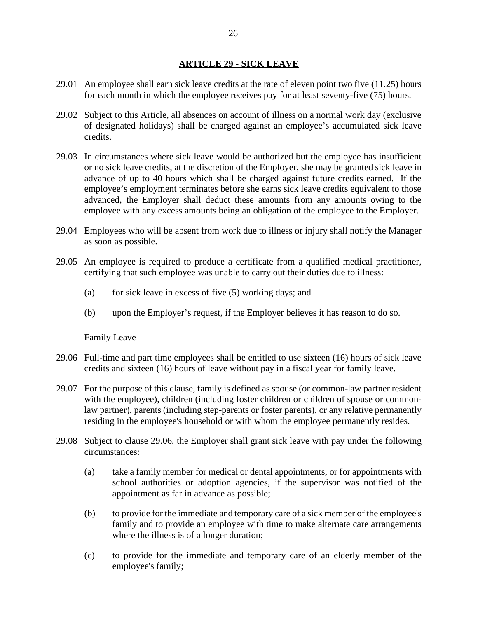## **ARTICLE 29 - SICK LEAVE**

- 29.01 An employee shall earn sick leave credits at the rate of eleven point two five (11.25) hours for each month in which the employee receives pay for at least seventy-five (75) hours.
- 29.02 Subject to this Article, all absences on account of illness on a normal work day (exclusive of designated holidays) shall be charged against an employee's accumulated sick leave credits.
- 29.03 In circumstances where sick leave would be authorized but the employee has insufficient or no sick leave credits, at the discretion of the Employer, she may be granted sick leave in advance of up to 40 hours which shall be charged against future credits earned. If the employee's employment terminates before she earns sick leave credits equivalent to those advanced, the Employer shall deduct these amounts from any amounts owing to the employee with any excess amounts being an obligation of the employee to the Employer.
- 29.04 Employees who will be absent from work due to illness or injury shall notify the Manager as soon as possible.
- 29.05 An employee is required to produce a certificate from a qualified medical practitioner, certifying that such employee was unable to carry out their duties due to illness:
	- (a) for sick leave in excess of five  $(5)$  working days; and
	- (b) upon the Employer's request, if the Employer believes it has reason to do so.

#### Family Leave

- <span id="page-28-0"></span>29.06 Full-time and part time employees shall be entitled to use sixteen (16) hours of sick leave credits and sixteen (16) hours of leave without pay in a fiscal year for family leave.
- 29.07 For the purpose of this clause, family is defined as spouse (or common-law partner resident with the employee), children (including foster children or children of spouse or commonlaw partner), parents (including step-parents or foster parents), or any relative permanently residing in the employee's household or with whom the employee permanently resides.
- 29.08 Subject to clause [29.06,](#page-28-0) the Employer shall grant sick leave with pay under the following circumstances:
	- (a) take a family member for medical or dental appointments, or for appointments with school authorities or adoption agencies, if the supervisor was notified of the appointment as far in advance as possible;
	- (b) to provide for the immediate and temporary care of a sick member of the employee's family and to provide an employee with time to make alternate care arrangements where the illness is of a longer duration;
	- (c) to provide for the immediate and temporary care of an elderly member of the employee's family;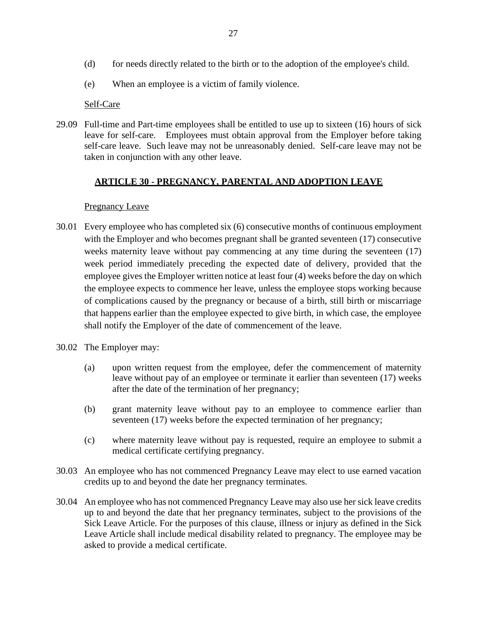- (d) for needs directly related to the birth or to the adoption of the employee's child.
- (e) When an employee is a victim of family violence.

#### Self-Care

29.09 Full-time and Part-time employees shall be entitled to use up to sixteen (16) hours of sick leave for self-care. Employees must obtain approval from the Employer before taking self-care leave. Such leave may not be unreasonably denied. Self-care leave may not be taken in conjunction with any other leave.

# **ARTICLE 30 - PREGNANCY, PARENTAL AND ADOPTION LEAVE**

#### Pregnancy Leave

- 30.01 Every employee who has completed six (6) consecutive months of continuous employment with the Employer and who becomes pregnant shall be granted seventeen (17) consecutive weeks maternity leave without pay commencing at any time during the seventeen  $(17)$ week period immediately preceding the expected date of delivery, provided that the employee gives the Employer written notice at least four (4) weeks before the day on which the employee expects to commence her leave, unless the employee stops working because of complications caused by the pregnancy or because of a birth, still birth or miscarriage that happens earlier than the employee expected to give birth, in which case, the employee shall notify the Employer of the date of commencement of the leave.
- 30.02 The Employer may:
	- (a) upon written request from the employee, defer the commencement of maternity leave without pay of an employee or terminate it earlier than seventeen (17) weeks after the date of the termination of her pregnancy;
	- (b) grant maternity leave without pay to an employee to commence earlier than seventeen (17) weeks before the expected termination of her pregnancy;
	- (c) where maternity leave without pay is requested, require an employee to submit a medical certificate certifying pregnancy.
- 30.03 An employee who has not commenced Pregnancy Leave may elect to use earned vacation credits up to and beyond the date her pregnancy terminates.
- 30.04 An employee who has not commenced Pregnancy Leave may also use her sick leave credits up to and beyond the date that her pregnancy terminates, subject to the provisions of the Sick Leave Article. For the purposes of this clause, illness or injury as defined in the Sick Leave Article shall include medical disability related to pregnancy. The employee may be asked to provide a medical certificate.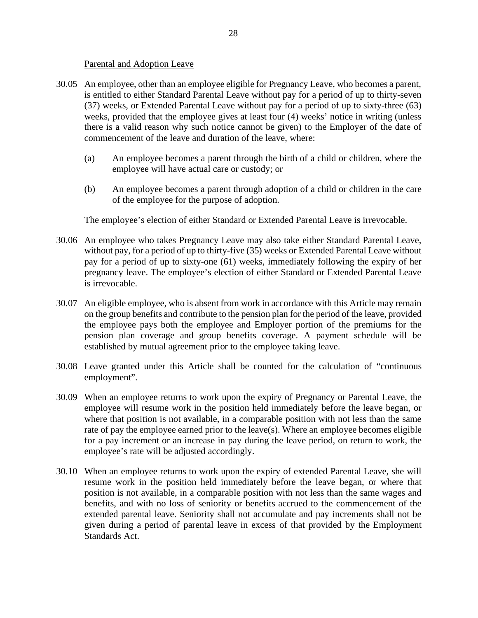## Parental and Adoption Leave

- 30.05 An employee, other than an employee eligible for Pregnancy Leave, who becomes a parent, is entitled to either Standard Parental Leave without pay for a period of up to thirty-seven (37) weeks, or Extended Parental Leave without pay for a period of up to sixty-three (63) weeks, provided that the employee gives at least four (4) weeks' notice in writing (unless there is a valid reason why such notice cannot be given) to the Employer of the date of commencement of the leave and duration of the leave, where:
	- (a) An employee becomes a parent through the birth of a child or children, where the employee will have actual care or custody; or
	- (b) An employee becomes a parent through adoption of a child or children in the care of the employee for the purpose of adoption.

The employee's election of either Standard or Extended Parental Leave is irrevocable.

- 30.06 An employee who takes Pregnancy Leave may also take either Standard Parental Leave, without pay, for a period of up to thirty-five (35) weeks or Extended Parental Leave without pay for a period of up to sixty-one (61) weeks, immediately following the expiry of her pregnancy leave. The employee's election of either Standard or Extended Parental Leave is irrevocable.
- 30.07 An eligible employee, who is absent from work in accordance with this Article may remain on the group benefits and contribute to the pension plan for the period of the leave, provided the employee pays both the employee and Employer portion of the premiums for the pension plan coverage and group benefits coverage. A payment schedule will be established by mutual agreement prior to the employee taking leave.
- 30.08 Leave granted under this Article shall be counted for the calculation of "continuous employment".
- 30.09 When an employee returns to work upon the expiry of Pregnancy or Parental Leave, the employee will resume work in the position held immediately before the leave began, or where that position is not available, in a comparable position with not less than the same rate of pay the employee earned prior to the leave(s). Where an employee becomes eligible for a pay increment or an increase in pay during the leave period, on return to work, the employee's rate will be adjusted accordingly.
- 30.10 When an employee returns to work upon the expiry of extended Parental Leave, she will resume work in the position held immediately before the leave began, or where that position is not available, in a comparable position with not less than the same wages and benefits, and with no loss of seniority or benefits accrued to the commencement of the extended parental leave. Seniority shall not accumulate and pay increments shall not be given during a period of parental leave in excess of that provided by the Employment Standards Act.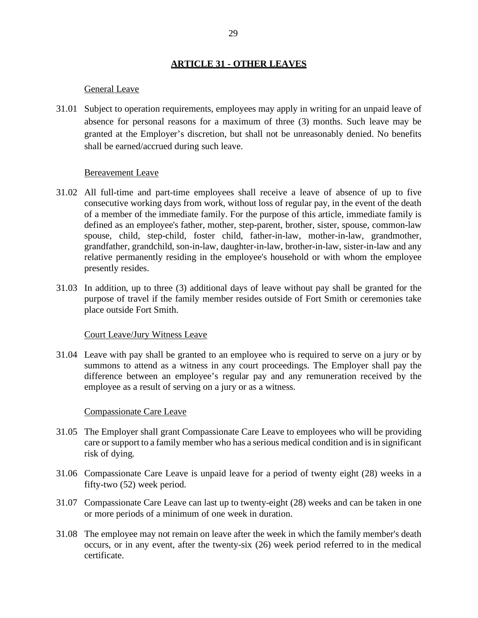## **ARTICLE 31 - OTHER LEAVES**

#### General Leave

31.01 Subject to operation requirements, employees may apply in writing for an unpaid leave of absence for personal reasons for a maximum of three (3) months. Such leave may be granted at the Employer's discretion, but shall not be unreasonably denied. No benefits shall be earned/accrued during such leave.

#### Bereavement Leave

- 31.02 All full-time and part-time employees shall receive a leave of absence of up to five consecutive working days from work, without loss of regular pay, in the event of the death of a member of the immediate family. For the purpose of this article, immediate family is defined as an employee's father, mother, step-parent, brother, sister, spouse, common-law spouse, child, step-child, foster child, father-in-law, mother-in-law, grandmother, grandfather, grandchild, son-in-law, daughter-in-law, brother-in-law, sister-in-law and any relative permanently residing in the employee's household or with whom the employee presently resides.
- 31.03 In addition, up to three (3) additional days of leave without pay shall be granted for the purpose of travel if the family member resides outside of Fort Smith or ceremonies take place outside Fort Smith.

#### Court Leave/Jury Witness Leave

31.04 Leave with pay shall be granted to an employee who is required to serve on a jury or by summons to attend as a witness in any court proceedings. The Employer shall pay the difference between an employee's regular pay and any remuneration received by the employee as a result of serving on a jury or as a witness.

#### Compassionate Care Leave

- 31.05 The Employer shall grant Compassionate Care Leave to employees who will be providing care or support to a family member who has a serious medical condition and is in significant risk of dying.
- 31.06 Compassionate Care Leave is unpaid leave for a period of twenty eight (28) weeks in a fifty-two (52) week period.
- 31.07 Compassionate Care Leave can last up to twenty-eight (28) weeks and can be taken in one or more periods of a minimum of one week in duration.
- 31.08 The employee may not remain on leave after the week in which the family member's death occurs, or in any event, after the twenty-six (26) week period referred to in the medical certificate.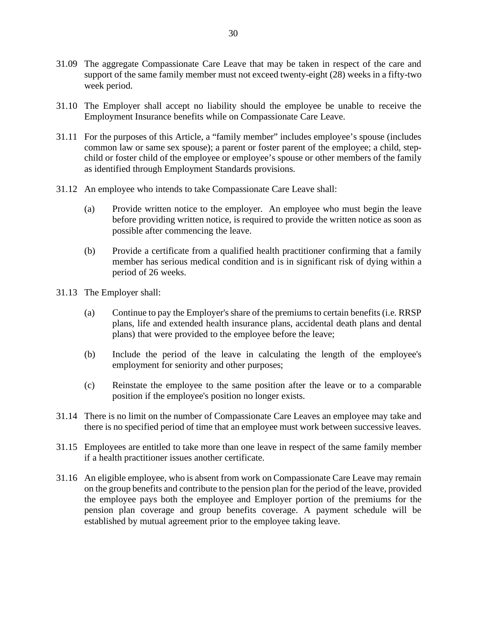- 31.09 The aggregate Compassionate Care Leave that may be taken in respect of the care and support of the same family member must not exceed twenty-eight (28) weeks in a fifty-two week period.
- 31.10 The Employer shall accept no liability should the employee be unable to receive the Employment Insurance benefits while on Compassionate Care Leave.
- 31.11 For the purposes of this Article, a "family member" includes employee's spouse (includes common law or same sex spouse); a parent or foster parent of the employee; a child, stepchild or foster child of the employee or employee's spouse or other members of the family as identified through Employment Standards provisions.
- 31.12 An employee who intends to take Compassionate Care Leave shall:
	- (a) Provide written notice to the employer. An employee who must begin the leave before providing written notice, is required to provide the written notice as soon as possible after commencing the leave.
	- (b) Provide a certificate from a qualified health practitioner confirming that a family member has serious medical condition and is in significant risk of dying within a period of 26 weeks.
- 31.13 The Employer shall:
	- (a) Continue to pay the Employer's share of the premiums to certain benefits (i.e. RRSP plans, life and extended health insurance plans, accidental death plans and dental plans) that were provided to the employee before the leave;
	- (b) Include the period of the leave in calculating the length of the employee's employment for seniority and other purposes;
	- (c) Reinstate the employee to the same position after the leave or to a comparable position if the employee's position no longer exists.
- 31.14 There is no limit on the number of Compassionate Care Leaves an employee may take and there is no specified period of time that an employee must work between successive leaves.
- 31.15 Employees are entitled to take more than one leave in respect of the same family member if a health practitioner issues another certificate.
- 31.16 An eligible employee, who is absent from work on Compassionate Care Leave may remain on the group benefits and contribute to the pension plan for the period of the leave, provided the employee pays both the employee and Employer portion of the premiums for the pension plan coverage and group benefits coverage. A payment schedule will be established by mutual agreement prior to the employee taking leave.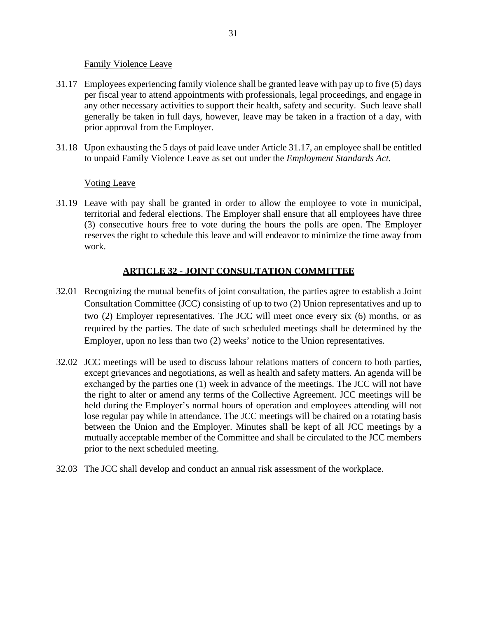## Family Violence Leave

- 31.17 Employees experiencing family violence shall be granted leave with pay up to five (5) days per fiscal year to attend appointments with professionals, legal proceedings, and engage in any other necessary activities to support their health, safety and security. Such leave shall generally be taken in full days, however, leave may be taken in a fraction of a day, with prior approval from the Employer.
- 31.18 Upon exhausting the 5 days of paid leave under Article 31.17, an employee shall be entitled to unpaid Family Violence Leave as set out under the *Employment Standards Act*.

# Voting Leave

31.19 Leave with pay shall be granted in order to allow the employee to vote in municipal, territorial and federal elections. The Employer shall ensure that all employees have three (3) consecutive hours free to vote during the hours the polls are open. The Employer reserves the right to schedule this leave and will endeavor to minimize the time away from work.

# **ARTICLE 32 - JOINT CONSULTATION COMMITTEE**

- 32.01 Recognizing the mutual benefits of joint consultation, the parties agree to establish a Joint Consultation Committee (JCC) consisting of up to two (2) Union representatives and up to two (2) Employer representatives. The JCC will meet once every six (6) months, or as required by the parties. The date of such scheduled meetings shall be determined by the Employer, upon no less than two (2) weeks' notice to the Union representatives.
- 32.02 JCC meetings will be used to discuss labour relations matters of concern to both parties, except grievances and negotiations, as well as health and safety matters. An agenda will be exchanged by the parties one (1) week in advance of the meetings. The JCC will not have the right to alter or amend any terms of the Collective Agreement. JCC meetings will be held during the Employer's normal hours of operation and employees attending will not lose regular pay while in attendance. The JCC meetings will be chaired on a rotating basis between the Union and the Employer. Minutes shall be kept of all JCC meetings by a mutually acceptable member of the Committee and shall be circulated to the JCC members prior to the next scheduled meeting.
- 32.03 The JCC shall develop and conduct an annual risk assessment of the workplace.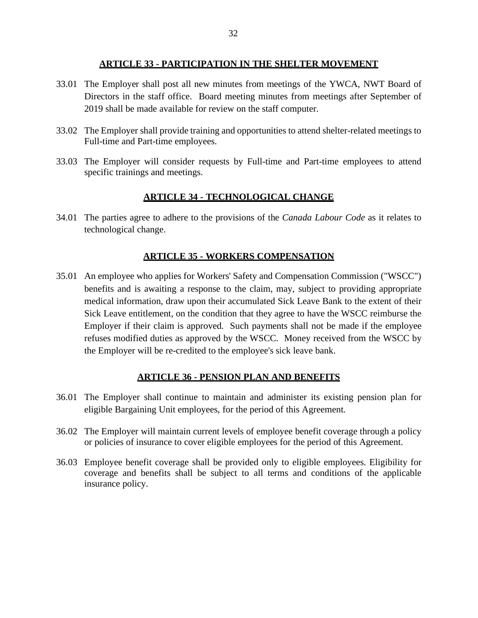#### **ARTICLE 33 - PARTICIPATION IN THE SHELTER MOVEMENT**

- 33.01 The Employer shall post all new minutes from meetings of the YWCA, NWT Board of Directors in the staff office. Board meeting minutes from meetings after September of 2019 shall be made available for review on the staff computer.
- 33.02 The Employer shall provide training and opportunities to attend shelter-related meetings to Full-time and Part-time employees.
- 33.03 The Employer will consider requests by Full-time and Part-time employees to attend specific trainings and meetings.

# **ARTICLE 34 - TECHNOLOGICAL CHANGE**

34.01 The parties agree to adhere to the provisions of the *Canada Labour Code* as it relates to technological change.

# **ARTICLE 35 - WORKERS COMPENSATION**

35.01 An employee who applies for Workers' Safety and Compensation Commission ("WSCC") benefits and is awaiting a response to the claim, may, subject to providing appropriate medical information, draw upon their accumulated Sick Leave Bank to the extent of their Sick Leave entitlement, on the condition that they agree to have the WSCC reimburse the Employer if their claim is approved. Such payments shall not be made if the employee refuses modified duties as approved by the WSCC. Money received from the WSCC by the Employer will be re-credited to the employee's sick leave bank.

## **ARTICLE 36 - PENSION PLAN AND BENEFITS**

- 36.01 The Employer shall continue to maintain and administer its existing pension plan for eligible Bargaining Unit employees, for the period of this Agreement.
- 36.02 The Employer will maintain current levels of employee benefit coverage through a policy or policies of insurance to cover eligible employees for the period of this Agreement.
- 36.03 Employee benefit coverage shall be provided only to eligible employees. Eligibility for coverage and benefits shall be subject to all terms and conditions of the applicable insurance policy.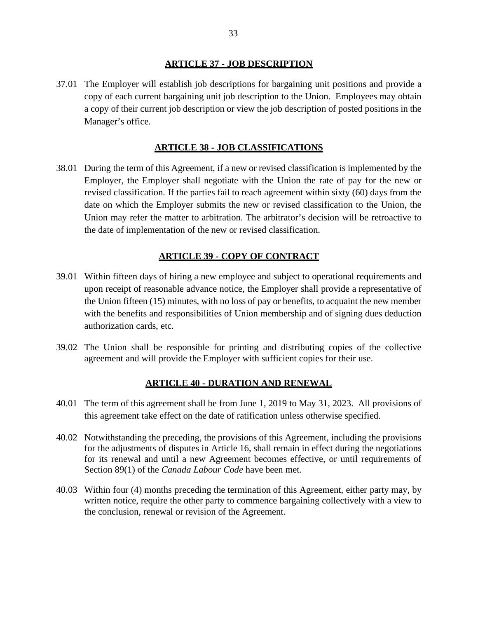#### **ARTICLE 37 - JOB DESCRIPTION**

37.01 The Employer will establish job descriptions for bargaining unit positions and provide a copy of each current bargaining unit job description to the Union. Employees may obtain a copy of their current job description or view the job description of posted positions in the Manager's office.

# **ARTICLE 38 - JOB CLASSIFICATIONS**

38.01 During the term of this Agreement, if a new or revised classification is implemented by the Employer, the Employer shall negotiate with the Union the rate of pay for the new or revised classification. If the parties fail to reach agreement within sixty (60) days from the date on which the Employer submits the new or revised classification to the Union, the Union may refer the matter to arbitration. The arbitrator's decision will be retroactive to the date of implementation of the new or revised classification.

# **ARTICLE 39 - COPY OF CONTRACT**

- 39.01 Within fifteen days of hiring a new employee and subject to operational requirements and upon receipt of reasonable advance notice, the Employer shall provide a representative of the Union fifteen (15) minutes, with no loss of pay or benefits, to acquaint the new member with the benefits and responsibilities of Union membership and of signing dues deduction authorization cards, etc.
- 39.02 The Union shall be responsible for printing and distributing copies of the collective agreement and will provide the Employer with sufficient copies for their use.

## **ARTICLE 40 - DURATION AND RENEWAL**

- 40.01 The term of this agreement shall be from June 1, 2019 to May 31, 2023. All provisions of this agreement take effect on the date of ratification unless otherwise specified.
- 40.02 Notwithstanding the preceding, the provisions of this Agreement, including the provisions for the adjustments of disputes in Article 16, shall remain in effect during the negotiations for its renewal and until a new Agreement becomes effective, or until requirements of Section 89(1) of the *Canada Labour Code* have been met.
- 40.03 Within four (4) months preceding the termination of this Agreement, either party may, by written notice, require the other party to commence bargaining collectively with a view to the conclusion, renewal or revision of the Agreement.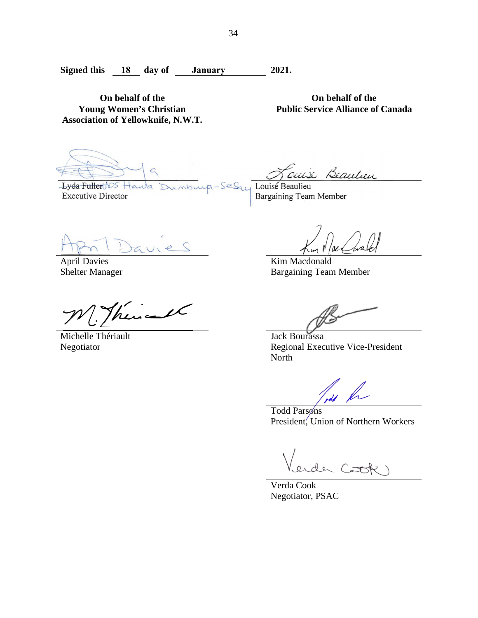iburp-Ses

**Signed this 18 day of January 2021.** 

**On behalf of the Young Women's Christian Association of Yellowknife, N.W.T.**

Lyda Fuller tos Hauta **Executive Director** 

**Public Service Alliance of Canada**

**On behalf of the**

cuix Beautien

Louise Beaulieu Bargaining Team Member

April Davies Shelter Manager

 $f(x)$ 

Michelle Thériault Negotiator

Kim Macdonald Bargaining Team Member

Jack Bourassa Regional Executive Vice-President North

Todd Parsons President, Union of Northern Workers

 $x \sim 0$ 

Verda Cook Negotiator, PSAC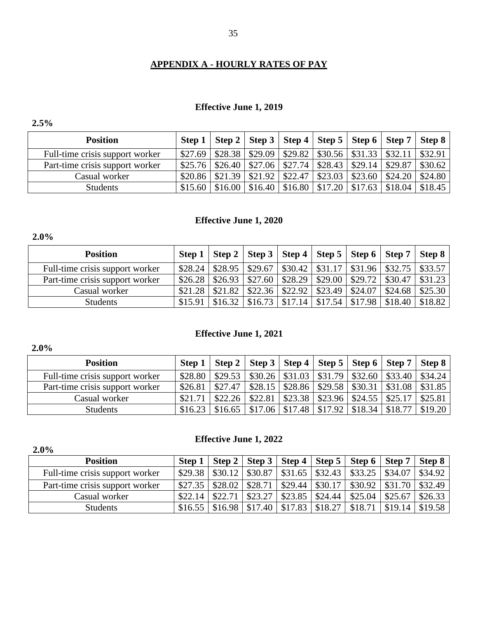# **APPENDIX A - HOURLY RATES OF PAY**

# **Effective June 1, 2019**

# **2.5%**

| <b>Position</b>                 |         |         |                         | Step 1   Step 2   Step 3   Step 4   Step 5   Step 6   Step 7   Step 8 |         |                                  |                                                 |                                                                                                                                                                                                                                                                                                                                            |
|---------------------------------|---------|---------|-------------------------|-----------------------------------------------------------------------|---------|----------------------------------|-------------------------------------------------|--------------------------------------------------------------------------------------------------------------------------------------------------------------------------------------------------------------------------------------------------------------------------------------------------------------------------------------------|
| Full-time crisis support worker | \$27.69 | \$28.38 | $\vert$ \$29.09 $\vert$ | $\vert$ \$29.82   \$30.56   \$31.33   \$32.11                         |         |                                  |                                                 | \$32.91                                                                                                                                                                                                                                                                                                                                    |
| Part-time crisis support worker | \$25.76 | \$26.40 | \$27.06                 | \$27.74                                                               |         | $$28.43 \mid $29.14 \mid $29.87$ |                                                 | \$30.62                                                                                                                                                                                                                                                                                                                                    |
| Casual worker                   | \$20.86 | \$21.39 | \$21.92                 | \$22.47                                                               | \$23.03 |                                  | $\vert$ \$23.60 $\vert$ \$24.20 $\vert$ \$24.80 |                                                                                                                                                                                                                                                                                                                                            |
| <b>Students</b>                 | \$15.60 | \$16.00 |                         |                                                                       |         |                                  |                                                 | $$16.40 \mid $16.80 \mid $17.20 \mid $17.63 \mid $18.04 \mid $18.45 \mid $16.40 \mid $16.80 \mid $17.20 \mid $17.63 \mid $18.04 \mid $18.45 \mid $16.40 \mid $16.40 \mid $16.80 \mid $17.20 \mid $17.63 \mid $18.04 \mid $18.45 \mid $16.40 \mid $16.40 \mid $16.40 \mid $16.40 \mid $16.40 \mid $16.40 \mid $16.40 \mid $16.40 \mid $16.$ |

# **Effective June 1, 2020**

| <b>Position</b>                 | Step $1 \mid$ |         |         |         |                   | Step 2   Step 3   Step 4   Step 5   Step 6   Step 7   Step 8 |  |
|---------------------------------|---------------|---------|---------|---------|-------------------|--------------------------------------------------------------|--|
| Full-time crisis support worker | $$28.24$      | \$28.95 | \$29.67 |         |                   | $\vert$ \$30.42   \$31.17   \$31.96   \$32.75   \$33.57      |  |
| Part-time crisis support worker | \$26.28       | \$26.93 | \$27.60 | \$28.29 |                   | $\vert$ \$29.00   \$29.72   \$30.47   \$31.23                |  |
| Casual worker                   | \$21.28       | \$21.82 | \$22.36 | \$22.92 | $$23.49$ $$24.07$ | $\parallel$ \$24.68 $\parallel$ \$25.30                      |  |
| <b>Students</b>                 | \$15.91       | \$16.32 | \$16.73 | \$17.14 |                   | $$17.54 \mid $17.98 \mid $18.40 \mid $18.82$                 |  |

# **Effective June 1, 2021**

# **2.0%**

| <b>Position</b>                 | Step 1   Step 2   Step 3   Step 4   Step 5   Step 6   Step 7   Step 8                                                                                                                                                                                                                                                                      |  |  |  |
|---------------------------------|--------------------------------------------------------------------------------------------------------------------------------------------------------------------------------------------------------------------------------------------------------------------------------------------------------------------------------------------|--|--|--|
| Full-time crisis support worker | $$28.80 \mid $29.53 \mid $30.26 \mid $31.03 \mid $31.79 \mid $32.60 \mid $33.40 \mid $34.24 \mid $32.60 \mid $33.40 \mid $34.24 \mid $33.40 \mid $34.24 \mid $33.40 \mid $34.24 \mid $33.40 \mid $34.24 \mid $33.40 \mid $34.24 \mid $33.40 \mid $33.40 \mid $34.24 \mid $33.40 \mid $33.40 \mid $33.40 \mid $33.40 \mid $33.40 \mid $33.$ |  |  |  |
| Part-time crisis support worker | $$26.81 \mid $27.47 \mid $28.15 \mid $28.86 \mid $29.58 \mid $30.31 \mid $31.08 \mid $31.85 \mid $30.32 \mid $31.08 \mid $31.85 \mid $32.85 \mid $32.85 \mid $32.85 \mid $32.85 \mid $32.85 \mid $32.85 \mid $32.85 \mid $32.85 \mid $32.85 \mid $32.85 \mid $32.85 \mid $32.85 \mid $32.85 \mid $32.85 \mid $32.85 \mid $32.85 \mid $32.$ |  |  |  |
| Casual worker                   | $$21.71$   \$22.26   \$22.81   \$23.38   \$23.96   \$24.55   \$25.17   \$25.81                                                                                                                                                                                                                                                             |  |  |  |
| <b>Students</b>                 | $$16.23 \mid $16.65 \mid $17.06 \mid $17.48 \mid $17.92 \mid $18.34 \mid $18.77 \mid $19.20 \mid $16.79 \mid $19.20 \mid $16.65 \mid $17.06 \mid $17.48 \mid $17.92 \mid $18.34 \mid $18.77 \mid $19.20 \mid $16.65 \mid $16.65 \mid $17.06 \mid $17.48 \mid $17.92 \mid $18.34 \mid $18.77 \mid $19.20 \mid $18.34 \mid $18.77 \mid $19.$ |  |  |  |

# **Effective June 1, 2022**

| 2.0%                            |         |         |         |         |         |                                            |         |         |
|---------------------------------|---------|---------|---------|---------|---------|--------------------------------------------|---------|---------|
| <b>Position</b>                 | Step 1  |         |         |         |         | Step 2   Step 3   Step 4   Step 5   Step 6 | Step 7  | Step 8  |
| Full-time crisis support worker | \$29.38 | \$30.12 | \$30.87 | \$31.65 | \$32.43 | \$33.25                                    | \$34.07 | \$34.92 |
| Part-time crisis support worker | \$27.35 | \$28.02 | \$28.71 | \$29.44 | \$30.17 | \$30.92                                    | \$31.70 | \$32.49 |
| Casual worker                   | \$22.14 | \$22.71 | \$23.27 | \$23.85 | \$24.44 | \$25.04                                    | \$25.67 | \$26.33 |
| <b>Students</b>                 | \$16.55 | \$16.98 | \$17.40 | \$17.83 | \$18.27 | \$18.71                                    | \$19.14 | \$19.58 |